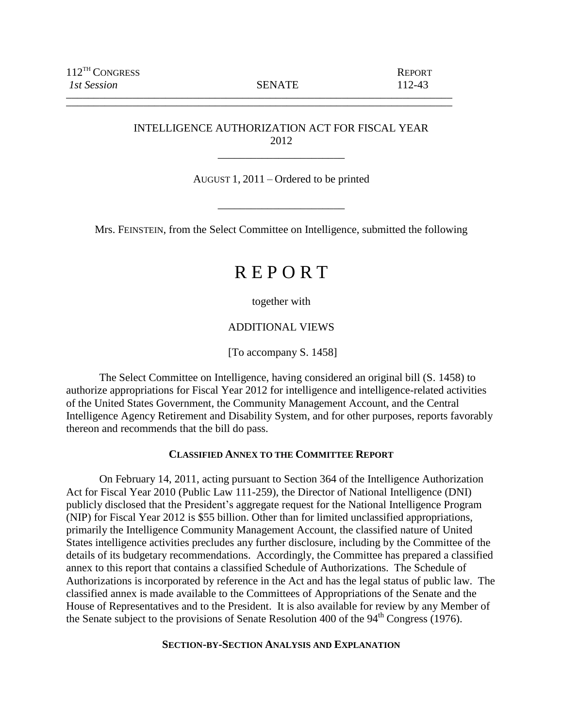\_\_\_\_\_\_\_\_\_\_\_\_\_\_\_\_\_\_\_\_\_\_\_\_\_\_\_\_\_\_\_\_\_\_\_\_\_\_\_\_\_\_\_\_\_\_\_\_\_\_\_\_\_\_\_\_\_\_\_\_\_\_\_\_\_\_\_\_\_\_

# INTELLIGENCE AUTHORIZATION ACT FOR FISCAL YEAR 2012

\_\_\_\_\_\_\_\_\_\_\_\_\_\_\_\_\_\_\_\_\_\_\_

AUGUST 1, 2011 – Ordered to be printed

\_\_\_\_\_\_\_\_\_\_\_\_\_\_\_\_\_\_\_\_\_\_\_

Mrs. FEINSTEIN, from the Select Committee on Intelligence, submitted the following

# R E P O R T

together with

ADDITIONAL VIEWS

[To accompany S. 1458]

The Select Committee on Intelligence, having considered an original bill (S. 1458) to authorize appropriations for Fiscal Year 2012 for intelligence and intelligence-related activities of the United States Government, the Community Management Account, and the Central Intelligence Agency Retirement and Disability System, and for other purposes, reports favorably thereon and recommends that the bill do pass.

### **CLASSIFIED ANNEX TO THE COMMITTEE REPORT**

On February 14, 2011, acting pursuant to Section 364 of the Intelligence Authorization Act for Fiscal Year 2010 (Public Law 111-259), the Director of National Intelligence (DNI) publicly disclosed that the President's aggregate request for the National Intelligence Program (NIP) for Fiscal Year 2012 is \$55 billion. Other than for limited unclassified appropriations, primarily the Intelligence Community Management Account, the classified nature of United States intelligence activities precludes any further disclosure, including by the Committee of the details of its budgetary recommendations. Accordingly, the Committee has prepared a classified annex to this report that contains a classified Schedule of Authorizations. The Schedule of Authorizations is incorporated by reference in the Act and has the legal status of public law. The classified annex is made available to the Committees of Appropriations of the Senate and the House of Representatives and to the President. It is also available for review by any Member of the Senate subject to the provisions of Senate Resolution 400 of the 94<sup>th</sup> Congress (1976).

### **SECTION-BY-SECTION ANALYSIS AND EXPLANATION**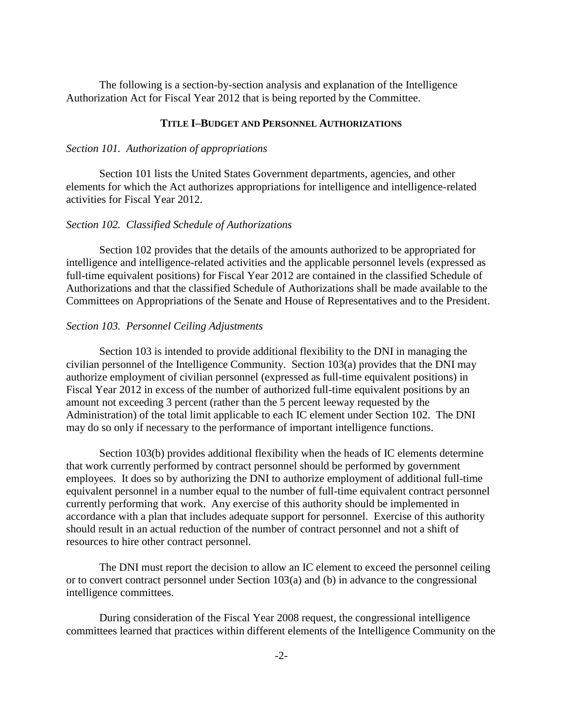The following is a section-by-section analysis and explanation of the Intelligence Authorization Act for Fiscal Year 2012 that is being reported by the Committee.

### **TITLE I–BUDGET AND PERSONNEL AUTHORIZATIONS**

### *Section 101. Authorization of appropriations*

Section 101 lists the United States Government departments, agencies, and other elements for which the Act authorizes appropriations for intelligence and intelligence-related activities for Fiscal Year 2012.

### *Section 102. Classified Schedule of Authorizations*

Section 102 provides that the details of the amounts authorized to be appropriated for intelligence and intelligence-related activities and the applicable personnel levels (expressed as full-time equivalent positions) for Fiscal Year 2012 are contained in the classified Schedule of Authorizations and that the classified Schedule of Authorizations shall be made available to the Committees on Appropriations of the Senate and House of Representatives and to the President.

### *Section 103. Personnel Ceiling Adjustments*

Section 103 is intended to provide additional flexibility to the DNI in managing the civilian personnel of the Intelligence Community. Section 103(a) provides that the DNI may authorize employment of civilian personnel (expressed as full-time equivalent positions) in Fiscal Year 2012 in excess of the number of authorized full-time equivalent positions by an amount not exceeding 3 percent (rather than the 5 percent leeway requested by the Administration) of the total limit applicable to each IC element under Section 102. The DNI may do so only if necessary to the performance of important intelligence functions.

Section 103(b) provides additional flexibility when the heads of IC elements determine that work currently performed by contract personnel should be performed by government employees. It does so by authorizing the DNI to authorize employment of additional full-time equivalent personnel in a number equal to the number of full-time equivalent contract personnel currently performing that work. Any exercise of this authority should be implemented in accordance with a plan that includes adequate support for personnel. Exercise of this authority should result in an actual reduction of the number of contract personnel and not a shift of resources to hire other contract personnel.

The DNI must report the decision to allow an IC element to exceed the personnel ceiling or to convert contract personnel under Section  $103(a)$  and (b) in advance to the congressional intelligence committees.

During consideration of the Fiscal Year 2008 request, the congressional intelligence committees learned that practices within different elements of the Intelligence Community on the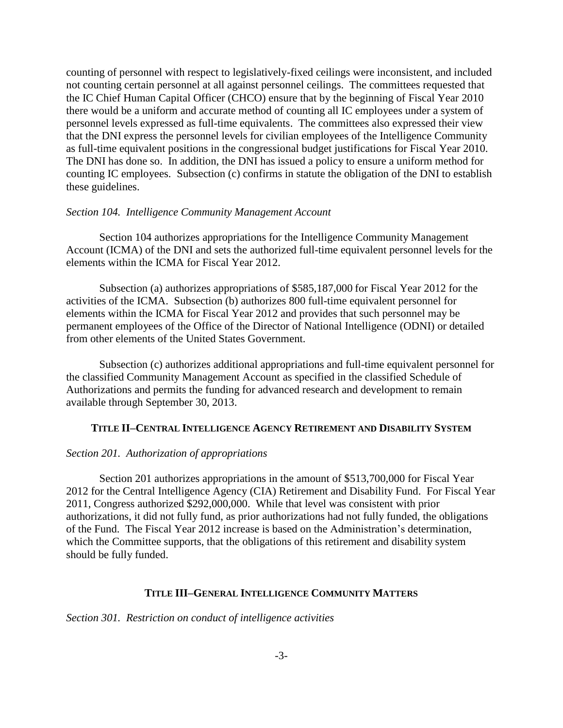counting of personnel with respect to legislatively-fixed ceilings were inconsistent, and included not counting certain personnel at all against personnel ceilings. The committees requested that the IC Chief Human Capital Officer (CHCO) ensure that by the beginning of Fiscal Year 2010 there would be a uniform and accurate method of counting all IC employees under a system of personnel levels expressed as full-time equivalents. The committees also expressed their view that the DNI express the personnel levels for civilian employees of the Intelligence Community as full-time equivalent positions in the congressional budget justifications for Fiscal Year 2010. The DNI has done so. In addition, the DNI has issued a policy to ensure a uniform method for counting IC employees. Subsection (c) confirms in statute the obligation of the DNI to establish these guidelines.

### *Section 104. Intelligence Community Management Account*

Section 104 authorizes appropriations for the Intelligence Community Management Account (ICMA) of the DNI and sets the authorized full-time equivalent personnel levels for the elements within the ICMA for Fiscal Year 2012.

Subsection (a) authorizes appropriations of \$585,187,000 for Fiscal Year 2012 for the activities of the ICMA. Subsection (b) authorizes 800 full-time equivalent personnel for elements within the ICMA for Fiscal Year 2012 and provides that such personnel may be permanent employees of the Office of the Director of National Intelligence (ODNI) or detailed from other elements of the United States Government.

Subsection (c) authorizes additional appropriations and full-time equivalent personnel for the classified Community Management Account as specified in the classified Schedule of Authorizations and permits the funding for advanced research and development to remain available through September 30, 2013.

#### **TITLE II–CENTRAL INTELLIGENCE AGENCY RETIREMENT AND DISABILITY SYSTEM**

#### *Section 201. Authorization of appropriations*

Section 201 authorizes appropriations in the amount of \$513,700,000 for Fiscal Year 2012 for the Central Intelligence Agency (CIA) Retirement and Disability Fund. For Fiscal Year 2011, Congress authorized \$292,000,000. While that level was consistent with prior authorizations, it did not fully fund, as prior authorizations had not fully funded, the obligations of the Fund. The Fiscal Year 2012 increase is based on the Administration's determination, which the Committee supports, that the obligations of this retirement and disability system should be fully funded.

#### **TITLE III–GENERAL INTELLIGENCE COMMUNITY MATTERS**

*Section 301. Restriction on conduct of intelligence activities*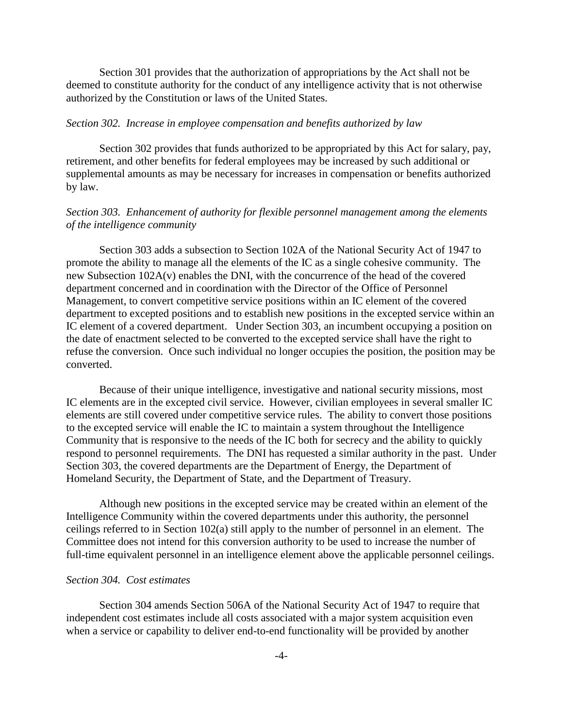Section 301 provides that the authorization of appropriations by the Act shall not be deemed to constitute authority for the conduct of any intelligence activity that is not otherwise authorized by the Constitution or laws of the United States.

### *Section 302. Increase in employee compensation and benefits authorized by law*

Section 302 provides that funds authorized to be appropriated by this Act for salary, pay, retirement, and other benefits for federal employees may be increased by such additional or supplemental amounts as may be necessary for increases in compensation or benefits authorized by law.

# *Section 303. Enhancement of authority for flexible personnel management among the elements of the intelligence community*

Section 303 adds a subsection to Section 102A of the National Security Act of 1947 to promote the ability to manage all the elements of the IC as a single cohesive community. The new Subsection 102A(v) enables the DNI, with the concurrence of the head of the covered department concerned and in coordination with the Director of the Office of Personnel Management, to convert competitive service positions within an IC element of the covered department to excepted positions and to establish new positions in the excepted service within an IC element of a covered department. Under Section 303, an incumbent occupying a position on the date of enactment selected to be converted to the excepted service shall have the right to refuse the conversion. Once such individual no longer occupies the position, the position may be converted.

Because of their unique intelligence, investigative and national security missions, most IC elements are in the excepted civil service. However, civilian employees in several smaller IC elements are still covered under competitive service rules. The ability to convert those positions to the excepted service will enable the IC to maintain a system throughout the Intelligence Community that is responsive to the needs of the IC both for secrecy and the ability to quickly respond to personnel requirements. The DNI has requested a similar authority in the past. Under Section 303, the covered departments are the Department of Energy, the Department of Homeland Security, the Department of State, and the Department of Treasury.

Although new positions in the excepted service may be created within an element of the Intelligence Community within the covered departments under this authority, the personnel ceilings referred to in Section 102(a) still apply to the number of personnel in an element. The Committee does not intend for this conversion authority to be used to increase the number of full-time equivalent personnel in an intelligence element above the applicable personnel ceilings.

#### *Section 304. Cost estimates*

Section 304 amends Section 506A of the National Security Act of 1947 to require that independent cost estimates include all costs associated with a major system acquisition even when a service or capability to deliver end-to-end functionality will be provided by another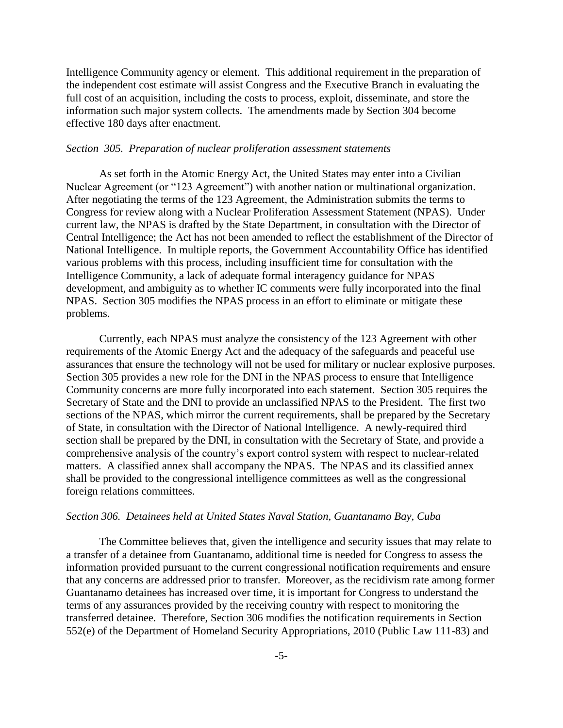Intelligence Community agency or element. This additional requirement in the preparation of the independent cost estimate will assist Congress and the Executive Branch in evaluating the full cost of an acquisition, including the costs to process, exploit, disseminate, and store the information such major system collects. The amendments made by Section 304 become effective 180 days after enactment.

### *Section 305. Preparation of nuclear proliferation assessment statements*

As set forth in the Atomic Energy Act, the United States may enter into a Civilian Nuclear Agreement (or "123 Agreement") with another nation or multinational organization. After negotiating the terms of the 123 Agreement, the Administration submits the terms to Congress for review along with a Nuclear Proliferation Assessment Statement (NPAS). Under current law, the NPAS is drafted by the State Department, in consultation with the Director of Central Intelligence; the Act has not been amended to reflect the establishment of the Director of National Intelligence. In multiple reports, the Government Accountability Office has identified various problems with this process, including insufficient time for consultation with the Intelligence Community, a lack of adequate formal interagency guidance for NPAS development, and ambiguity as to whether IC comments were fully incorporated into the final NPAS. Section 305 modifies the NPAS process in an effort to eliminate or mitigate these problems.

Currently, each NPAS must analyze the consistency of the 123 Agreement with other requirements of the Atomic Energy Act and the adequacy of the safeguards and peaceful use assurances that ensure the technology will not be used for military or nuclear explosive purposes. Section 305 provides a new role for the DNI in the NPAS process to ensure that Intelligence Community concerns are more fully incorporated into each statement. Section 305 requires the Secretary of State and the DNI to provide an unclassified NPAS to the President. The first two sections of the NPAS, which mirror the current requirements, shall be prepared by the Secretary of State, in consultation with the Director of National Intelligence. A newly-required third section shall be prepared by the DNI, in consultation with the Secretary of State, and provide a comprehensive analysis of the country's export control system with respect to nuclear-related matters. A classified annex shall accompany the NPAS. The NPAS and its classified annex shall be provided to the congressional intelligence committees as well as the congressional foreign relations committees.

#### *Section 306. Detainees held at United States Naval Station, Guantanamo Bay, Cuba*

The Committee believes that, given the intelligence and security issues that may relate to a transfer of a detainee from Guantanamo, additional time is needed for Congress to assess the information provided pursuant to the current congressional notification requirements and ensure that any concerns are addressed prior to transfer. Moreover, as the recidivism rate among former Guantanamo detainees has increased over time, it is important for Congress to understand the terms of any assurances provided by the receiving country with respect to monitoring the transferred detainee. Therefore, Section 306 modifies the notification requirements in Section 552(e) of the Department of Homeland Security Appropriations, 2010 (Public Law 111-83) and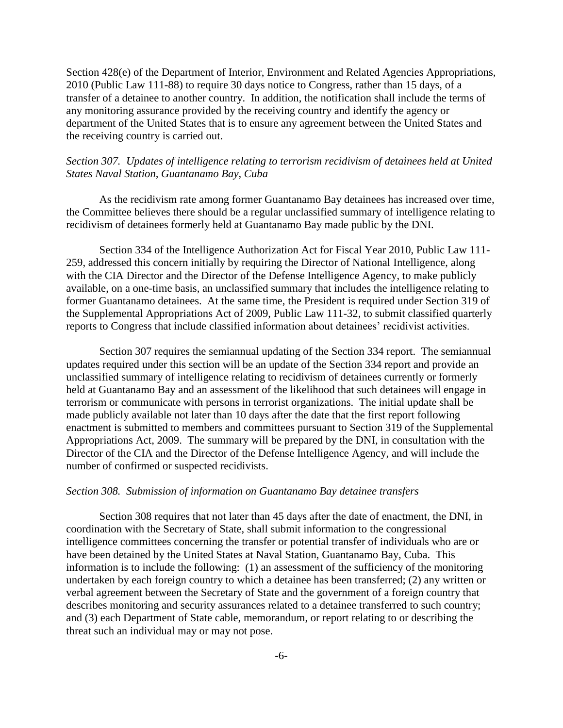Section 428(e) of the Department of Interior, Environment and Related Agencies Appropriations, 2010 (Public Law 111-88) to require 30 days notice to Congress, rather than 15 days, of a transfer of a detainee to another country. In addition, the notification shall include the terms of any monitoring assurance provided by the receiving country and identify the agency or department of the United States that is to ensure any agreement between the United States and the receiving country is carried out.

# *Section 307. Updates of intelligence relating to terrorism recidivism of detainees held at United States Naval Station, Guantanamo Bay, Cuba*

As the recidivism rate among former Guantanamo Bay detainees has increased over time, the Committee believes there should be a regular unclassified summary of intelligence relating to recidivism of detainees formerly held at Guantanamo Bay made public by the DNI.

Section 334 of the Intelligence Authorization Act for Fiscal Year 2010, Public Law 111- 259, addressed this concern initially by requiring the Director of National Intelligence, along with the CIA Director and the Director of the Defense Intelligence Agency, to make publicly available, on a one-time basis, an unclassified summary that includes the intelligence relating to former Guantanamo detainees. At the same time, the President is required under Section 319 of the Supplemental Appropriations Act of 2009, Public Law 111-32, to submit classified quarterly reports to Congress that include classified information about detainees' recidivist activities.

Section 307 requires the semiannual updating of the Section 334 report. The semiannual updates required under this section will be an update of the Section 334 report and provide an unclassified summary of intelligence relating to recidivism of detainees currently or formerly held at Guantanamo Bay and an assessment of the likelihood that such detainees will engage in terrorism or communicate with persons in terrorist organizations. The initial update shall be made publicly available not later than 10 days after the date that the first report following enactment is submitted to members and committees pursuant to Section 319 of the Supplemental Appropriations Act, 2009. The summary will be prepared by the DNI, in consultation with the Director of the CIA and the Director of the Defense Intelligence Agency, and will include the number of confirmed or suspected recidivists.

#### *Section 308. Submission of information on Guantanamo Bay detainee transfers*

Section 308 requires that not later than 45 days after the date of enactment, the DNI, in coordination with the Secretary of State, shall submit information to the congressional intelligence committees concerning the transfer or potential transfer of individuals who are or have been detained by the United States at Naval Station, Guantanamo Bay, Cuba. This information is to include the following: (1) an assessment of the sufficiency of the monitoring undertaken by each foreign country to which a detainee has been transferred; (2) any written or verbal agreement between the Secretary of State and the government of a foreign country that describes monitoring and security assurances related to a detainee transferred to such country; and (3) each Department of State cable, memorandum, or report relating to or describing the threat such an individual may or may not pose.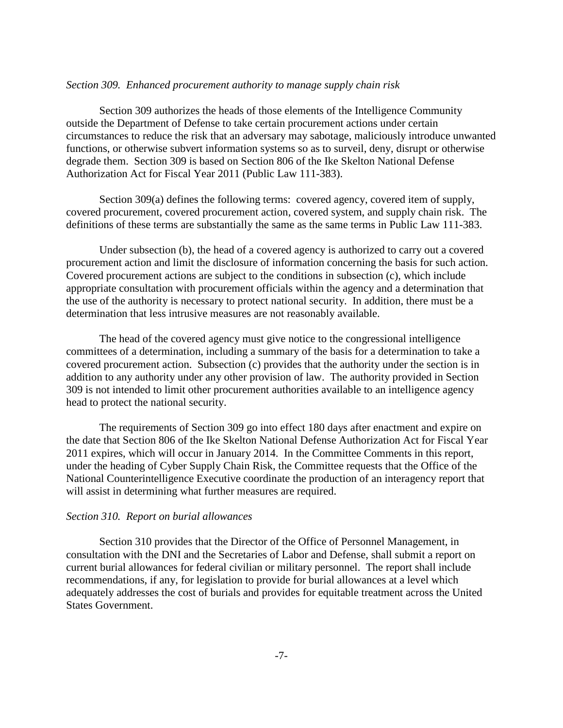### *Section 309. Enhanced procurement authority to manage supply chain risk*

Section 309 authorizes the heads of those elements of the Intelligence Community outside the Department of Defense to take certain procurement actions under certain circumstances to reduce the risk that an adversary may sabotage, maliciously introduce unwanted functions, or otherwise subvert information systems so as to surveil, deny, disrupt or otherwise degrade them. Section 309 is based on Section 806 of the Ike Skelton National Defense Authorization Act for Fiscal Year 2011 (Public Law 111-383).

Section 309(a) defines the following terms: covered agency, covered item of supply, covered procurement, covered procurement action, covered system, and supply chain risk. The definitions of these terms are substantially the same as the same terms in Public Law 111-383.

Under subsection (b), the head of a covered agency is authorized to carry out a covered procurement action and limit the disclosure of information concerning the basis for such action. Covered procurement actions are subject to the conditions in subsection (c), which include appropriate consultation with procurement officials within the agency and a determination that the use of the authority is necessary to protect national security. In addition, there must be a determination that less intrusive measures are not reasonably available.

The head of the covered agency must give notice to the congressional intelligence committees of a determination, including a summary of the basis for a determination to take a covered procurement action. Subsection (c) provides that the authority under the section is in addition to any authority under any other provision of law. The authority provided in Section 309 is not intended to limit other procurement authorities available to an intelligence agency head to protect the national security.

The requirements of Section 309 go into effect 180 days after enactment and expire on the date that Section 806 of the Ike Skelton National Defense Authorization Act for Fiscal Year 2011 expires, which will occur in January 2014. In the Committee Comments in this report, under the heading of Cyber Supply Chain Risk, the Committee requests that the Office of the National Counterintelligence Executive coordinate the production of an interagency report that will assist in determining what further measures are required.

### *Section 310. Report on burial allowances*

Section 310 provides that the Director of the Office of Personnel Management, in consultation with the DNI and the Secretaries of Labor and Defense, shall submit a report on current burial allowances for federal civilian or military personnel. The report shall include recommendations, if any, for legislation to provide for burial allowances at a level which adequately addresses the cost of burials and provides for equitable treatment across the United States Government.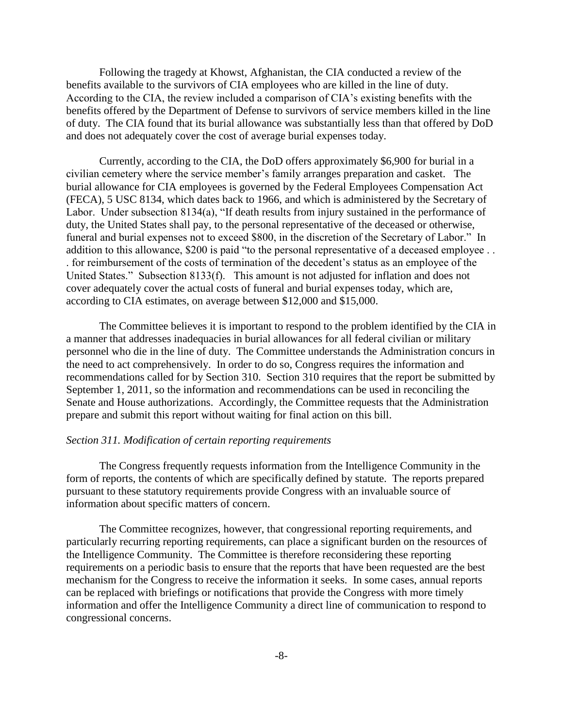Following the tragedy at Khowst, Afghanistan, the CIA conducted a review of the benefits available to the survivors of CIA employees who are killed in the line of duty. According to the CIA, the review included a comparison of CIA's existing benefits with the benefits offered by the Department of Defense to survivors of service members killed in the line of duty. The CIA found that its burial allowance was substantially less than that offered by DoD and does not adequately cover the cost of average burial expenses today.

Currently, according to the CIA, the DoD offers approximately \$6,900 for burial in a civilian cemetery where the service member's family arranges preparation and casket. The burial allowance for CIA employees is governed by the Federal Employees Compensation Act (FECA), 5 USC 8134, which dates back to 1966, and which is administered by the Secretary of Labor. Under subsection  $8134(a)$ , "If death results from injury sustained in the performance of duty, the United States shall pay, to the personal representative of the deceased or otherwise, funeral and burial expenses not to exceed \$800, in the discretion of the Secretary of Labor." In addition to this allowance, \$200 is paid "to the personal representative of a deceased employee . . . for reimbursement of the costs of termination of the decedent's status as an employee of the United States." Subsection 8133(f). This amount is not adjusted for inflation and does not cover adequately cover the actual costs of funeral and burial expenses today, which are, according to CIA estimates, on average between \$12,000 and \$15,000.

The Committee believes it is important to respond to the problem identified by the CIA in a manner that addresses inadequacies in burial allowances for all federal civilian or military personnel who die in the line of duty. The Committee understands the Administration concurs in the need to act comprehensively. In order to do so, Congress requires the information and recommendations called for by Section 310. Section 310 requires that the report be submitted by September 1, 2011, so the information and recommendations can be used in reconciling the Senate and House authorizations. Accordingly, the Committee requests that the Administration prepare and submit this report without waiting for final action on this bill.

### *Section 311. Modification of certain reporting requirements*

The Congress frequently requests information from the Intelligence Community in the form of reports, the contents of which are specifically defined by statute. The reports prepared pursuant to these statutory requirements provide Congress with an invaluable source of information about specific matters of concern.

The Committee recognizes, however, that congressional reporting requirements, and particularly recurring reporting requirements, can place a significant burden on the resources of the Intelligence Community. The Committee is therefore reconsidering these reporting requirements on a periodic basis to ensure that the reports that have been requested are the best mechanism for the Congress to receive the information it seeks. In some cases, annual reports can be replaced with briefings or notifications that provide the Congress with more timely information and offer the Intelligence Community a direct line of communication to respond to congressional concerns.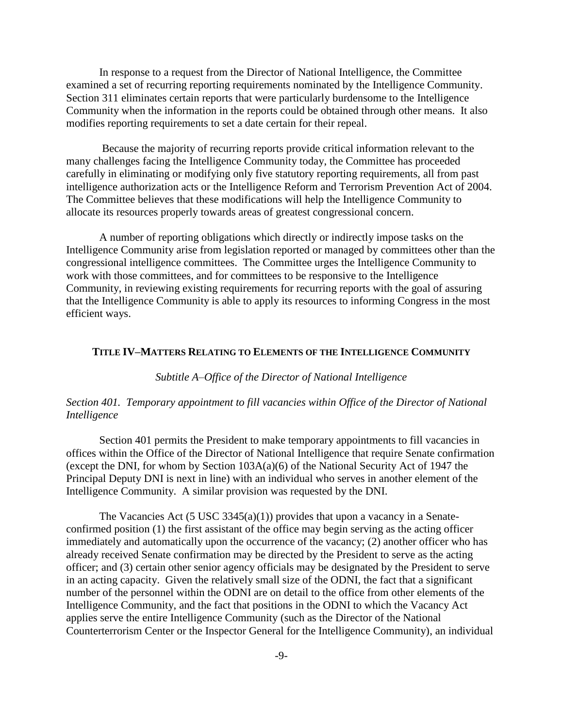In response to a request from the Director of National Intelligence, the Committee examined a set of recurring reporting requirements nominated by the Intelligence Community. Section 311 eliminates certain reports that were particularly burdensome to the Intelligence Community when the information in the reports could be obtained through other means. It also modifies reporting requirements to set a date certain for their repeal.

Because the majority of recurring reports provide critical information relevant to the many challenges facing the Intelligence Community today, the Committee has proceeded carefully in eliminating or modifying only five statutory reporting requirements, all from past intelligence authorization acts or the Intelligence Reform and Terrorism Prevention Act of 2004. The Committee believes that these modifications will help the Intelligence Community to allocate its resources properly towards areas of greatest congressional concern.

A number of reporting obligations which directly or indirectly impose tasks on the Intelligence Community arise from legislation reported or managed by committees other than the congressional intelligence committees. The Committee urges the Intelligence Community to work with those committees, and for committees to be responsive to the Intelligence Community, in reviewing existing requirements for recurring reports with the goal of assuring that the Intelligence Community is able to apply its resources to informing Congress in the most efficient ways.

#### **TITLE IV–MATTERS RELATING TO ELEMENTS OF THE INTELLIGENCE COMMUNITY**

### *Subtitle A–Office of the Director of National Intelligence*

### *Section 401. Temporary appointment to fill vacancies within Office of the Director of National Intelligence*

Section 401 permits the President to make temporary appointments to fill vacancies in offices within the Office of the Director of National Intelligence that require Senate confirmation (except the DNI, for whom by Section 103A(a)(6) of the National Security Act of 1947 the Principal Deputy DNI is next in line) with an individual who serves in another element of the Intelligence Community. A similar provision was requested by the DNI.

The Vacancies Act (5 USC 3345(a)(1)) provides that upon a vacancy in a Senateconfirmed position (1) the first assistant of the office may begin serving as the acting officer immediately and automatically upon the occurrence of the vacancy; (2) another officer who has already received Senate confirmation may be directed by the President to serve as the acting officer; and (3) certain other senior agency officials may be designated by the President to serve in an acting capacity. Given the relatively small size of the ODNI, the fact that a significant number of the personnel within the ODNI are on detail to the office from other elements of the Intelligence Community, and the fact that positions in the ODNI to which the Vacancy Act applies serve the entire Intelligence Community (such as the Director of the National Counterterrorism Center or the Inspector General for the Intelligence Community), an individual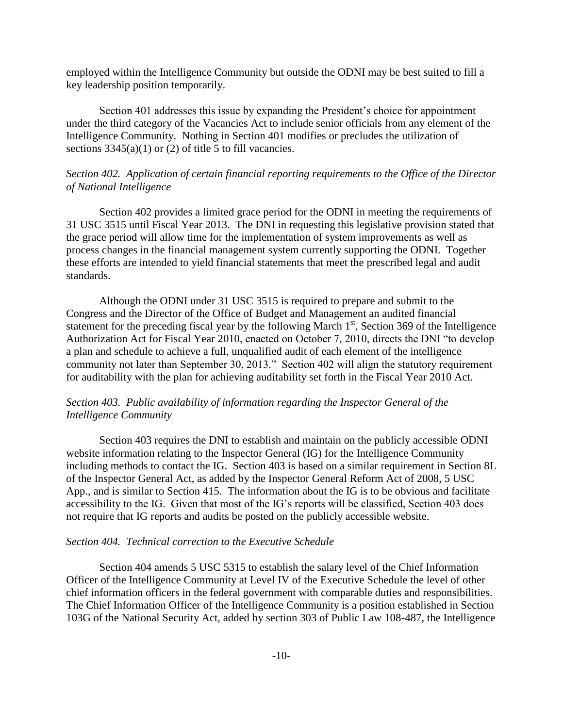employed within the Intelligence Community but outside the ODNI may be best suited to fill a key leadership position temporarily.

Section 401 addresses this issue by expanding the President's choice for appointment under the third category of the Vacancies Act to include senior officials from any element of the Intelligence Community. Nothing in Section 401 modifies or precludes the utilization of sections  $3345(a)(1)$  or (2) of title 5 to fill vacancies.

## *Section 402. Application of certain financial reporting requirements to the Office of the Director of National Intelligence*

Section 402 provides a limited grace period for the ODNI in meeting the requirements of 31 USC 3515 until Fiscal Year 2013. The DNI in requesting this legislative provision stated that the grace period will allow time for the implementation of system improvements as well as process changes in the financial management system currently supporting the ODNI. Together these efforts are intended to yield financial statements that meet the prescribed legal and audit standards.

Although the ODNI under 31 USC 3515 is required to prepare and submit to the Congress and the Director of the Office of Budget and Management an audited financial statement for the preceding fiscal year by the following March 1<sup>st</sup>, Section 369 of the Intelligence Authorization Act for Fiscal Year 2010, enacted on October 7, 2010, directs the DNI "to develop a plan and schedule to achieve a full, unqualified audit of each element of the intelligence community not later than September 30, 2013." Section 402 will align the statutory requirement for auditability with the plan for achieving auditability set forth in the Fiscal Year 2010 Act.

# *Section 403. Public availability of information regarding the Inspector General of the Intelligence Community*

Section 403 requires the DNI to establish and maintain on the publicly accessible ODNI website information relating to the Inspector General (IG) for the Intelligence Community including methods to contact the IG. Section 403 is based on a similar requirement in Section 8L of the Inspector General Act, as added by the Inspector General Reform Act of 2008, 5 USC App., and is similar to Section 415. The information about the IG is to be obvious and facilitate accessibility to the IG. Given that most of the IG's reports will be classified, Section 403 does not require that IG reports and audits be posted on the publicly accessible website.

### *Section 404. Technical correction to the Executive Schedule*

Section 404 amends 5 USC 5315 to establish the salary level of the Chief Information Officer of the Intelligence Community at Level IV of the Executive Schedule the level of other chief information officers in the federal government with comparable duties and responsibilities. The Chief Information Officer of the Intelligence Community is a position established in Section 103G of the National Security Act, added by section 303 of Public Law 108-487, the Intelligence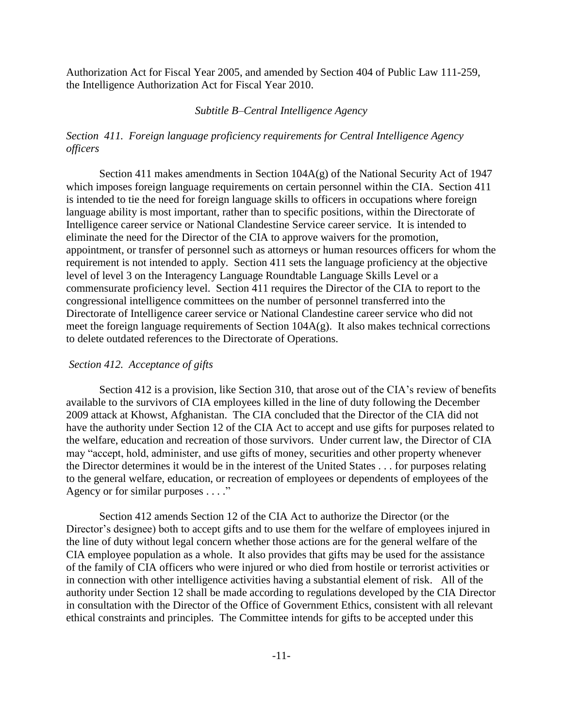Authorization Act for Fiscal Year 2005, and amended by Section 404 of Public Law 111-259, the Intelligence Authorization Act for Fiscal Year 2010.

### *Subtitle B–Central Intelligence Agency*

# *Section 411. Foreign language proficiency requirements for Central Intelligence Agency officers*

Section 411 makes amendments in Section 104A(g) of the National Security Act of 1947 which imposes foreign language requirements on certain personnel within the CIA. Section 411 is intended to tie the need for foreign language skills to officers in occupations where foreign language ability is most important, rather than to specific positions, within the Directorate of Intelligence career service or National Clandestine Service career service. It is intended to eliminate the need for the Director of the CIA to approve waivers for the promotion, appointment, or transfer of personnel such as attorneys or human resources officers for whom the requirement is not intended to apply. Section 411 sets the language proficiency at the objective level of level 3 on the Interagency Language Roundtable Language Skills Level or a commensurate proficiency level. Section 411 requires the Director of the CIA to report to the congressional intelligence committees on the number of personnel transferred into the Directorate of Intelligence career service or National Clandestine career service who did not meet the foreign language requirements of Section 104A(g). It also makes technical corrections to delete outdated references to the Directorate of Operations.

### *Section 412. Acceptance of gifts*

Section 412 is a provision, like Section 310, that arose out of the CIA's review of benefits available to the survivors of CIA employees killed in the line of duty following the December 2009 attack at Khowst, Afghanistan. The CIA concluded that the Director of the CIA did not have the authority under Section 12 of the CIA Act to accept and use gifts for purposes related to the welfare, education and recreation of those survivors. Under current law, the Director of CIA may "accept, hold, administer, and use gifts of money, securities and other property whenever the Director determines it would be in the interest of the United States . . . for purposes relating to the general welfare, education, or recreation of employees or dependents of employees of the Agency or for similar purposes  $\dots$ ."

Section 412 amends Section 12 of the CIA Act to authorize the Director (or the Director's designee) both to accept gifts and to use them for the welfare of employees injured in the line of duty without legal concern whether those actions are for the general welfare of the CIA employee population as a whole. It also provides that gifts may be used for the assistance of the family of CIA officers who were injured or who died from hostile or terrorist activities or in connection with other intelligence activities having a substantial element of risk. All of the authority under Section 12 shall be made according to regulations developed by the CIA Director in consultation with the Director of the Office of Government Ethics, consistent with all relevant ethical constraints and principles. The Committee intends for gifts to be accepted under this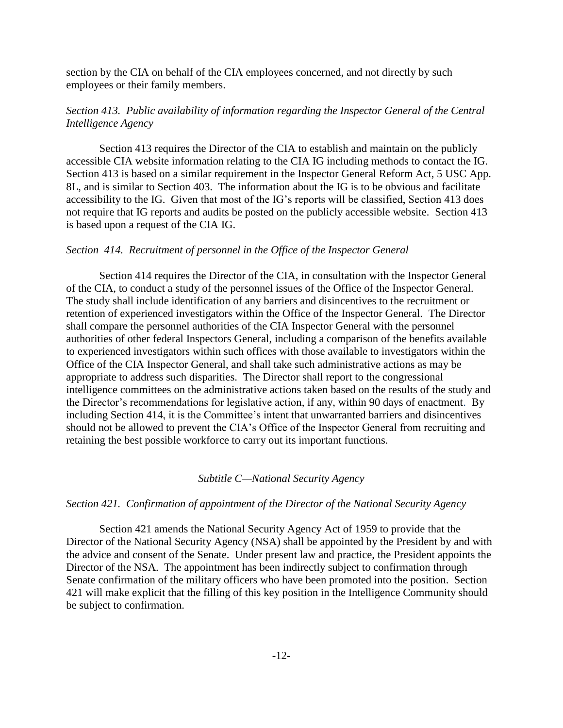section by the CIA on behalf of the CIA employees concerned, and not directly by such employees or their family members.

# *Section 413. Public availability of information regarding the Inspector General of the Central Intelligence Agency*

Section 413 requires the Director of the CIA to establish and maintain on the publicly accessible CIA website information relating to the CIA IG including methods to contact the IG. Section 413 is based on a similar requirement in the Inspector General Reform Act, 5 USC App. 8L, and is similar to Section 403. The information about the IG is to be obvious and facilitate accessibility to the IG. Given that most of the IG's reports will be classified, Section 413 does not require that IG reports and audits be posted on the publicly accessible website. Section 413 is based upon a request of the CIA IG.

### *Section 414. Recruitment of personnel in the Office of the Inspector General*

Section 414 requires the Director of the CIA, in consultation with the Inspector General of the CIA, to conduct a study of the personnel issues of the Office of the Inspector General. The study shall include identification of any barriers and disincentives to the recruitment or retention of experienced investigators within the Office of the Inspector General. The Director shall compare the personnel authorities of the CIA Inspector General with the personnel authorities of other federal Inspectors General, including a comparison of the benefits available to experienced investigators within such offices with those available to investigators within the Office of the CIA Inspector General, and shall take such administrative actions as may be appropriate to address such disparities. The Director shall report to the congressional intelligence committees on the administrative actions taken based on the results of the study and the Director's recommendations for legislative action, if any, within 90 days of enactment. By including Section 414, it is the Committee's intent that unwarranted barriers and disincentives should not be allowed to prevent the CIA's Office of the Inspector General from recruiting and retaining the best possible workforce to carry out its important functions.

#### *Subtitle C—National Security Agency*

### *Section 421. Confirmation of appointment of the Director of the National Security Agency*

Section 421 amends the National Security Agency Act of 1959 to provide that the Director of the National Security Agency (NSA) shall be appointed by the President by and with the advice and consent of the Senate. Under present law and practice, the President appoints the Director of the NSA. The appointment has been indirectly subject to confirmation through Senate confirmation of the military officers who have been promoted into the position. Section 421 will make explicit that the filling of this key position in the Intelligence Community should be subject to confirmation.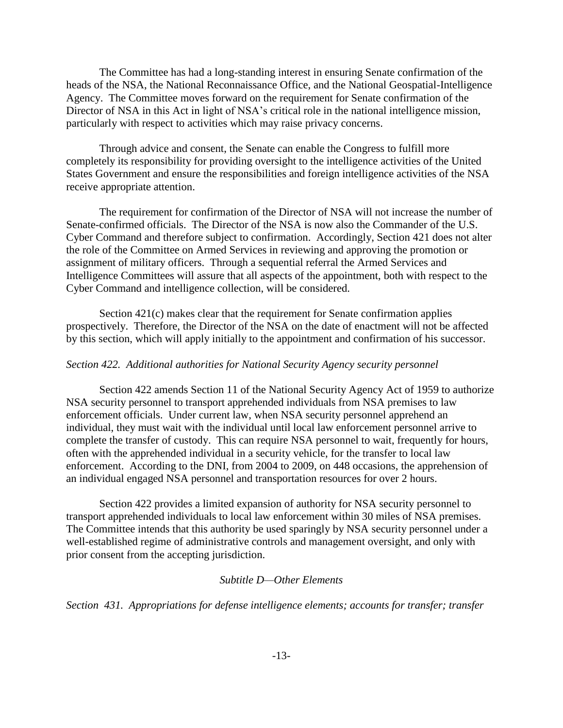The Committee has had a long-standing interest in ensuring Senate confirmation of the heads of the NSA, the National Reconnaissance Office, and the National Geospatial-Intelligence Agency. The Committee moves forward on the requirement for Senate confirmation of the Director of NSA in this Act in light of NSA's critical role in the national intelligence mission, particularly with respect to activities which may raise privacy concerns.

Through advice and consent, the Senate can enable the Congress to fulfill more completely its responsibility for providing oversight to the intelligence activities of the United States Government and ensure the responsibilities and foreign intelligence activities of the NSA receive appropriate attention.

The requirement for confirmation of the Director of NSA will not increase the number of Senate-confirmed officials. The Director of the NSA is now also the Commander of the U.S. Cyber Command and therefore subject to confirmation. Accordingly, Section 421 does not alter the role of the Committee on Armed Services in reviewing and approving the promotion or assignment of military officers. Through a sequential referral the Armed Services and Intelligence Committees will assure that all aspects of the appointment, both with respect to the Cyber Command and intelligence collection, will be considered.

Section 421(c) makes clear that the requirement for Senate confirmation applies prospectively. Therefore, the Director of the NSA on the date of enactment will not be affected by this section, which will apply initially to the appointment and confirmation of his successor.

#### *Section 422. Additional authorities for National Security Agency security personnel*

Section 422 amends Section 11 of the National Security Agency Act of 1959 to authorize NSA security personnel to transport apprehended individuals from NSA premises to law enforcement officials. Under current law, when NSA security personnel apprehend an individual, they must wait with the individual until local law enforcement personnel arrive to complete the transfer of custody. This can require NSA personnel to wait, frequently for hours, often with the apprehended individual in a security vehicle, for the transfer to local law enforcement. According to the DNI, from 2004 to 2009, on 448 occasions, the apprehension of an individual engaged NSA personnel and transportation resources for over 2 hours.

Section 422 provides a limited expansion of authority for NSA security personnel to transport apprehended individuals to local law enforcement within 30 miles of NSA premises. The Committee intends that this authority be used sparingly by NSA security personnel under a well-established regime of administrative controls and management oversight, and only with prior consent from the accepting jurisdiction.

#### *Subtitle D—Other Elements*

*Section 431. Appropriations for defense intelligence elements; accounts for transfer; transfer*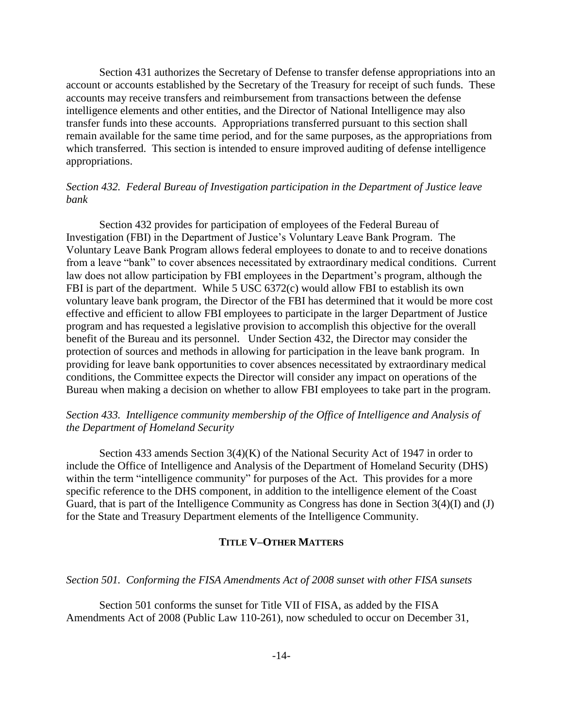Section 431 authorizes the Secretary of Defense to transfer defense appropriations into an account or accounts established by the Secretary of the Treasury for receipt of such funds. These accounts may receive transfers and reimbursement from transactions between the defense intelligence elements and other entities, and the Director of National Intelligence may also transfer funds into these accounts. Appropriations transferred pursuant to this section shall remain available for the same time period, and for the same purposes, as the appropriations from which transferred. This section is intended to ensure improved auditing of defense intelligence appropriations.

# *Section 432. Federal Bureau of Investigation participation in the Department of Justice leave bank*

Section 432 provides for participation of employees of the Federal Bureau of Investigation (FBI) in the Department of Justice's Voluntary Leave Bank Program. The Voluntary Leave Bank Program allows federal employees to donate to and to receive donations from a leave "bank" to cover absences necessitated by extraordinary medical conditions. Current law does not allow participation by FBI employees in the Department's program, although the FBI is part of the department. While 5 USC 6372(c) would allow FBI to establish its own voluntary leave bank program, the Director of the FBI has determined that it would be more cost effective and efficient to allow FBI employees to participate in the larger Department of Justice program and has requested a legislative provision to accomplish this objective for the overall benefit of the Bureau and its personnel. Under Section 432, the Director may consider the protection of sources and methods in allowing for participation in the leave bank program. In providing for leave bank opportunities to cover absences necessitated by extraordinary medical conditions, the Committee expects the Director will consider any impact on operations of the Bureau when making a decision on whether to allow FBI employees to take part in the program.

# *Section 433. Intelligence community membership of the Office of Intelligence and Analysis of the Department of Homeland Security*

Section 433 amends Section 3(4)(K) of the National Security Act of 1947 in order to include the Office of Intelligence and Analysis of the Department of Homeland Security (DHS) within the term "intelligence community" for purposes of the Act. This provides for a more specific reference to the DHS component, in addition to the intelligence element of the Coast Guard, that is part of the Intelligence Community as Congress has done in Section 3(4)(I) and (J) for the State and Treasury Department elements of the Intelligence Community.

### **TITLE V–OTHER MATTERS**

#### *Section 501. Conforming the FISA Amendments Act of 2008 sunset with other FISA sunsets*

Section 501 conforms the sunset for Title VII of FISA, as added by the FISA Amendments Act of 2008 (Public Law 110-261), now scheduled to occur on December 31,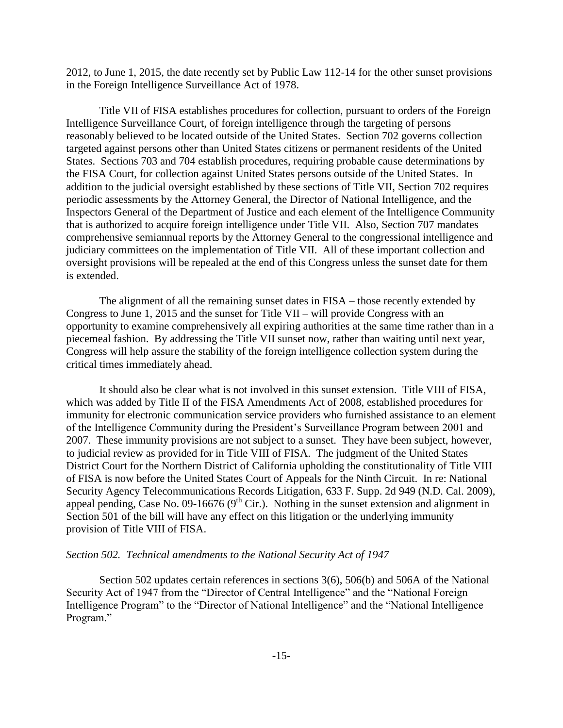2012, to June 1, 2015, the date recently set by Public Law 112-14 for the other sunset provisions in the Foreign Intelligence Surveillance Act of 1978.

Title VII of FISA establishes procedures for collection, pursuant to orders of the Foreign Intelligence Surveillance Court, of foreign intelligence through the targeting of persons reasonably believed to be located outside of the United States. Section 702 governs collection targeted against persons other than United States citizens or permanent residents of the United States. Sections 703 and 704 establish procedures, requiring probable cause determinations by the FISA Court, for collection against United States persons outside of the United States. In addition to the judicial oversight established by these sections of Title VII, Section 702 requires periodic assessments by the Attorney General, the Director of National Intelligence, and the Inspectors General of the Department of Justice and each element of the Intelligence Community that is authorized to acquire foreign intelligence under Title VII. Also, Section 707 mandates comprehensive semiannual reports by the Attorney General to the congressional intelligence and judiciary committees on the implementation of Title VII. All of these important collection and oversight provisions will be repealed at the end of this Congress unless the sunset date for them is extended.

The alignment of all the remaining sunset dates in FISA – those recently extended by Congress to June 1, 2015 and the sunset for Title VII – will provide Congress with an opportunity to examine comprehensively all expiring authorities at the same time rather than in a piecemeal fashion. By addressing the Title VII sunset now, rather than waiting until next year, Congress will help assure the stability of the foreign intelligence collection system during the critical times immediately ahead.

It should also be clear what is not involved in this sunset extension. Title VIII of FISA, which was added by Title II of the FISA Amendments Act of 2008, established procedures for immunity for electronic communication service providers who furnished assistance to an element of the Intelligence Community during the President's Surveillance Program between 2001 and 2007. These immunity provisions are not subject to a sunset. They have been subject, however, to judicial review as provided for in Title VIII of FISA. The judgment of the United States District Court for the Northern District of California upholding the constitutionality of Title VIII of FISA is now before the United States Court of Appeals for the Ninth Circuit. In re: National Security Agency Telecommunications Records Litigation, 633 F. Supp. 2d 949 (N.D. Cal. 2009), appeal pending, Case No. 09-16676 ( $9<sup>th</sup>$  Cir.). Nothing in the sunset extension and alignment in Section 501 of the bill will have any effect on this litigation or the underlying immunity provision of Title VIII of FISA.

### *Section 502. Technical amendments to the National Security Act of 1947*

Section 502 updates certain references in sections 3(6), 506(b) and 506A of the National Security Act of 1947 from the "Director of Central Intelligence" and the "National Foreign Intelligence Program" to the "Director of National Intelligence" and the "National Intelligence" Program."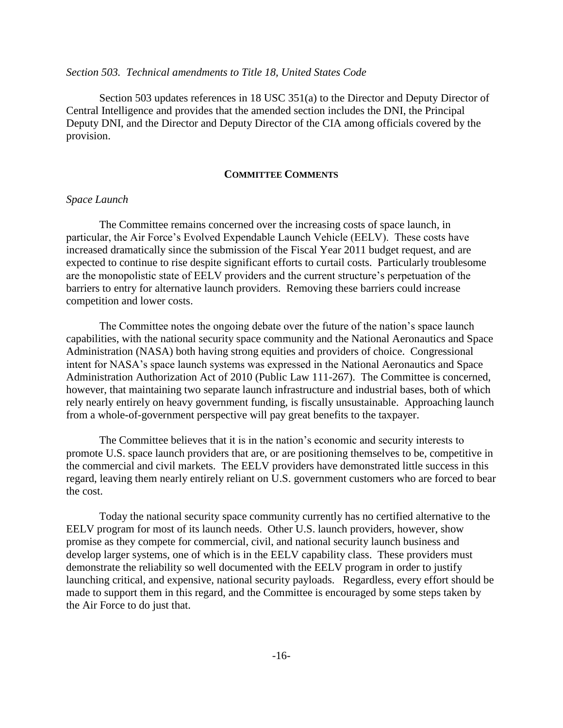### *Section 503. Technical amendments to Title 18, United States Code*

Section 503 updates references in 18 USC 351(a) to the Director and Deputy Director of Central Intelligence and provides that the amended section includes the DNI, the Principal Deputy DNI, and the Director and Deputy Director of the CIA among officials covered by the provision.

### **COMMITTEE COMMENTS**

### *Space Launch*

The Committee remains concerned over the increasing costs of space launch, in particular, the Air Force's Evolved Expendable Launch Vehicle (EELV). These costs have increased dramatically since the submission of the Fiscal Year 2011 budget request, and are expected to continue to rise despite significant efforts to curtail costs. Particularly troublesome are the monopolistic state of EELV providers and the current structure's perpetuation of the barriers to entry for alternative launch providers. Removing these barriers could increase competition and lower costs.

The Committee notes the ongoing debate over the future of the nation's space launch capabilities, with the national security space community and the National Aeronautics and Space Administration (NASA) both having strong equities and providers of choice. Congressional intent for NASA's space launch systems was expressed in the National Aeronautics and Space Administration Authorization Act of 2010 (Public Law 111-267). The Committee is concerned, however, that maintaining two separate launch infrastructure and industrial bases, both of which rely nearly entirely on heavy government funding, is fiscally unsustainable. Approaching launch from a whole-of-government perspective will pay great benefits to the taxpayer.

The Committee believes that it is in the nation's economic and security interests to promote U.S. space launch providers that are, or are positioning themselves to be, competitive in the commercial and civil markets. The EELV providers have demonstrated little success in this regard, leaving them nearly entirely reliant on U.S. government customers who are forced to bear the cost.

Today the national security space community currently has no certified alternative to the EELV program for most of its launch needs. Other U.S. launch providers, however, show promise as they compete for commercial, civil, and national security launch business and develop larger systems, one of which is in the EELV capability class. These providers must demonstrate the reliability so well documented with the EELV program in order to justify launching critical, and expensive, national security payloads. Regardless, every effort should be made to support them in this regard, and the Committee is encouraged by some steps taken by the Air Force to do just that.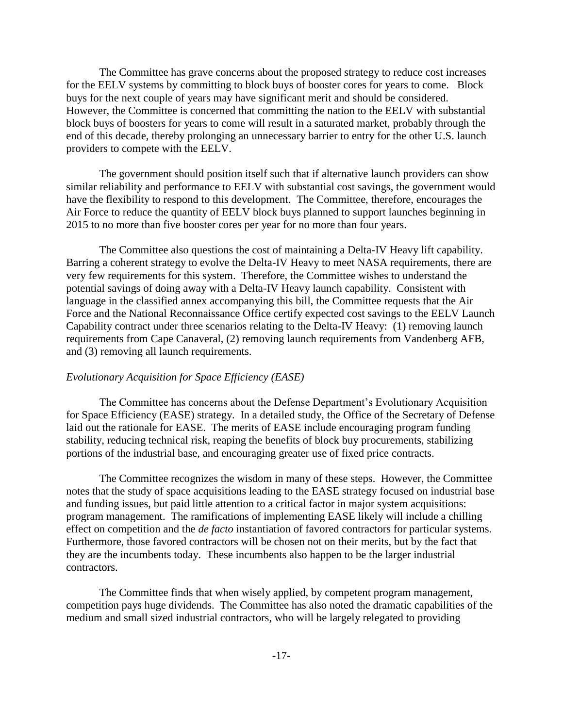The Committee has grave concerns about the proposed strategy to reduce cost increases for the EELV systems by committing to block buys of booster cores for years to come. Block buys for the next couple of years may have significant merit and should be considered. However, the Committee is concerned that committing the nation to the EELV with substantial block buys of boosters for years to come will result in a saturated market, probably through the end of this decade, thereby prolonging an unnecessary barrier to entry for the other U.S. launch providers to compete with the EELV.

The government should position itself such that if alternative launch providers can show similar reliability and performance to EELV with substantial cost savings, the government would have the flexibility to respond to this development. The Committee, therefore, encourages the Air Force to reduce the quantity of EELV block buys planned to support launches beginning in 2015 to no more than five booster cores per year for no more than four years.

The Committee also questions the cost of maintaining a Delta-IV Heavy lift capability. Barring a coherent strategy to evolve the Delta-IV Heavy to meet NASA requirements, there are very few requirements for this system. Therefore, the Committee wishes to understand the potential savings of doing away with a Delta-IV Heavy launch capability. Consistent with language in the classified annex accompanying this bill, the Committee requests that the Air Force and the National Reconnaissance Office certify expected cost savings to the EELV Launch Capability contract under three scenarios relating to the Delta-IV Heavy: (1) removing launch requirements from Cape Canaveral, (2) removing launch requirements from Vandenberg AFB, and (3) removing all launch requirements.

### *Evolutionary Acquisition for Space Efficiency (EASE)*

The Committee has concerns about the Defense Department's Evolutionary Acquisition for Space Efficiency (EASE) strategy. In a detailed study, the Office of the Secretary of Defense laid out the rationale for EASE. The merits of EASE include encouraging program funding stability, reducing technical risk, reaping the benefits of block buy procurements, stabilizing portions of the industrial base, and encouraging greater use of fixed price contracts.

The Committee recognizes the wisdom in many of these steps. However, the Committee notes that the study of space acquisitions leading to the EASE strategy focused on industrial base and funding issues, but paid little attention to a critical factor in major system acquisitions: program management. The ramifications of implementing EASE likely will include a chilling effect on competition and the *de facto* instantiation of favored contractors for particular systems. Furthermore, those favored contractors will be chosen not on their merits, but by the fact that they are the incumbents today. These incumbents also happen to be the larger industrial contractors.

The Committee finds that when wisely applied, by competent program management, competition pays huge dividends. The Committee has also noted the dramatic capabilities of the medium and small sized industrial contractors, who will be largely relegated to providing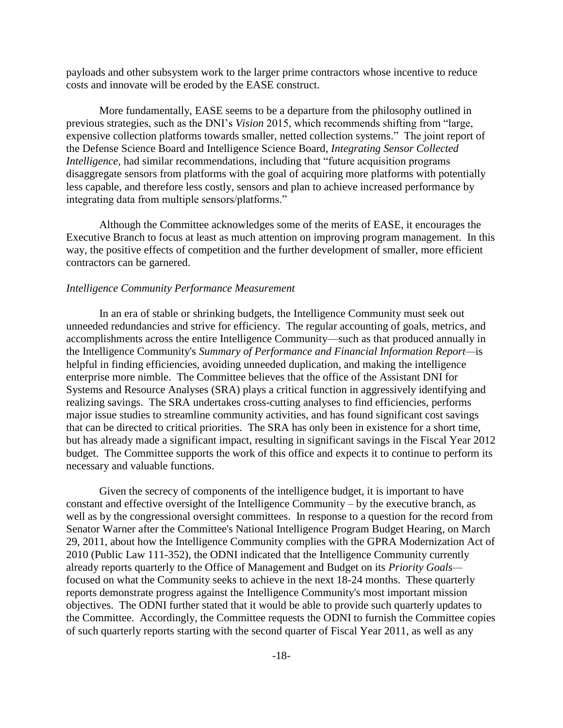payloads and other subsystem work to the larger prime contractors whose incentive to reduce costs and innovate will be eroded by the EASE construct.

More fundamentally, EASE seems to be a departure from the philosophy outlined in previous strategies, such as the DNI's *Vision* 2015, which recommends shifting from "large, expensive collection platforms towards smaller, netted collection systems." The joint report of the Defense Science Board and Intelligence Science Board, *Integrating Sensor Collected Intelligence*, had similar recommendations, including that "future acquisition programs" disaggregate sensors from platforms with the goal of acquiring more platforms with potentially less capable, and therefore less costly, sensors and plan to achieve increased performance by integrating data from multiple sensors/platforms."

Although the Committee acknowledges some of the merits of EASE, it encourages the Executive Branch to focus at least as much attention on improving program management. In this way, the positive effects of competition and the further development of smaller, more efficient contractors can be garnered.

### *Intelligence Community Performance Measurement*

In an era of stable or shrinking budgets, the Intelligence Community must seek out unneeded redundancies and strive for efficiency. The regular accounting of goals, metrics, and accomplishments across the entire Intelligence Community—such as that produced annually in the Intelligence Community's *Summary of Performance and Financial Information Report—*is helpful in finding efficiencies, avoiding unneeded duplication, and making the intelligence enterprise more nimble. The Committee believes that the office of the Assistant DNI for Systems and Resource Analyses (SRA) plays a critical function in aggressively identifying and realizing savings. The SRA undertakes cross-cutting analyses to find efficiencies, performs major issue studies to streamline community activities, and has found significant cost savings that can be directed to critical priorities. The SRA has only been in existence for a short time, but has already made a significant impact, resulting in significant savings in the Fiscal Year 2012 budget. The Committee supports the work of this office and expects it to continue to perform its necessary and valuable functions.

Given the secrecy of components of the intelligence budget, it is important to have constant and effective oversight of the Intelligence Community – by the executive branch, as well as by the congressional oversight committees. In response to a question for the record from Senator Warner after the Committee's National Intelligence Program Budget Hearing, on March 29, 2011, about how the Intelligence Community complies with the GPRA Modernization Act of 2010 (Public Law 111-352), the ODNI indicated that the Intelligence Community currently already reports quarterly to the Office of Management and Budget on its *Priority Goals* focused on what the Community seeks to achieve in the next 18-24 months. These quarterly reports demonstrate progress against the Intelligence Community's most important mission objectives. The ODNI further stated that it would be able to provide such quarterly updates to the Committee. Accordingly, the Committee requests the ODNI to furnish the Committee copies of such quarterly reports starting with the second quarter of Fiscal Year 2011, as well as any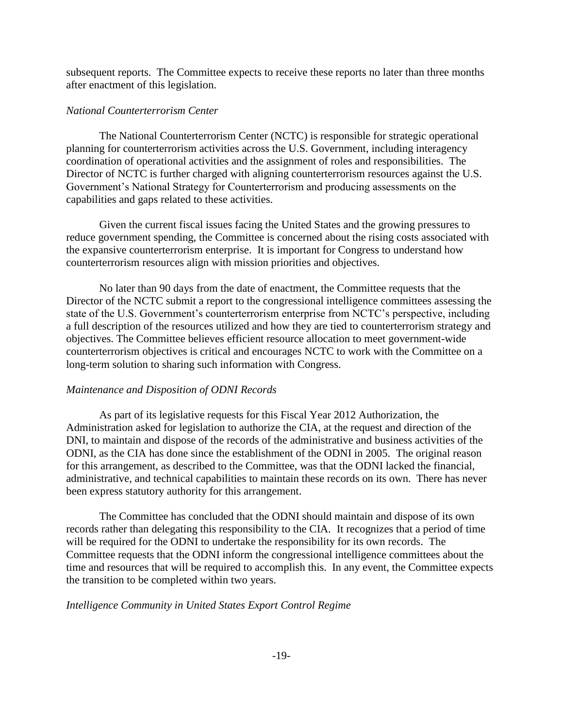subsequent reports. The Committee expects to receive these reports no later than three months after enactment of this legislation.

# *National Counterterrorism Center*

The National Counterterrorism Center (NCTC) is responsible for strategic operational planning for counterterrorism activities across the U.S. Government, including interagency coordination of operational activities and the assignment of roles and responsibilities. The Director of NCTC is further charged with aligning counterterrorism resources against the U.S. Government's National Strategy for Counterterrorism and producing assessments on the capabilities and gaps related to these activities.

Given the current fiscal issues facing the United States and the growing pressures to reduce government spending, the Committee is concerned about the rising costs associated with the expansive counterterrorism enterprise. It is important for Congress to understand how counterterrorism resources align with mission priorities and objectives.

No later than 90 days from the date of enactment, the Committee requests that the Director of the NCTC submit a report to the congressional intelligence committees assessing the state of the U.S. Government's counterterrorism enterprise from NCTC's perspective, including a full description of the resources utilized and how they are tied to counterterrorism strategy and objectives. The Committee believes efficient resource allocation to meet government-wide counterterrorism objectives is critical and encourages NCTC to work with the Committee on a long-term solution to sharing such information with Congress.

# *Maintenance and Disposition of ODNI Records*

As part of its legislative requests for this Fiscal Year 2012 Authorization, the Administration asked for legislation to authorize the CIA, at the request and direction of the DNI, to maintain and dispose of the records of the administrative and business activities of the ODNI, as the CIA has done since the establishment of the ODNI in 2005. The original reason for this arrangement, as described to the Committee, was that the ODNI lacked the financial, administrative, and technical capabilities to maintain these records on its own. There has never been express statutory authority for this arrangement.

The Committee has concluded that the ODNI should maintain and dispose of its own records rather than delegating this responsibility to the CIA. It recognizes that a period of time will be required for the ODNI to undertake the responsibility for its own records. The Committee requests that the ODNI inform the congressional intelligence committees about the time and resources that will be required to accomplish this. In any event, the Committee expects the transition to be completed within two years.

# *Intelligence Community in United States Export Control Regime*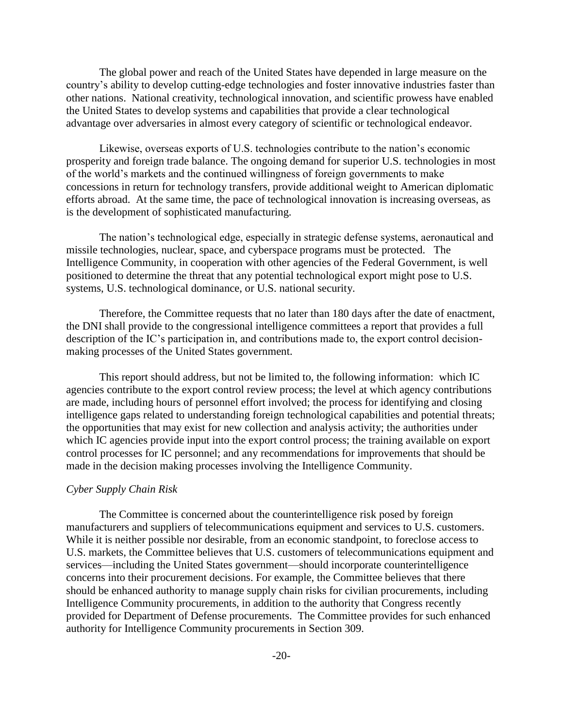The global power and reach of the United States have depended in large measure on the country's ability to develop cutting-edge technologies and foster innovative industries faster than other nations. National creativity, technological innovation, and scientific prowess have enabled the United States to develop systems and capabilities that provide a clear technological advantage over adversaries in almost every category of scientific or technological endeavor.

Likewise, overseas exports of U.S. technologies contribute to the nation's economic prosperity and foreign trade balance. The ongoing demand for superior U.S. technologies in most of the world's markets and the continued willingness of foreign governments to make concessions in return for technology transfers, provide additional weight to American diplomatic efforts abroad. At the same time, the pace of technological innovation is increasing overseas, as is the development of sophisticated manufacturing.

The nation's technological edge, especially in strategic defense systems, aeronautical and missile technologies, nuclear, space, and cyberspace programs must be protected. The Intelligence Community, in cooperation with other agencies of the Federal Government, is well positioned to determine the threat that any potential technological export might pose to U.S. systems, U.S. technological dominance, or U.S. national security.

Therefore, the Committee requests that no later than 180 days after the date of enactment, the DNI shall provide to the congressional intelligence committees a report that provides a full description of the IC's participation in, and contributions made to, the export control decisionmaking processes of the United States government.

This report should address, but not be limited to, the following information: which IC agencies contribute to the export control review process; the level at which agency contributions are made, including hours of personnel effort involved; the process for identifying and closing intelligence gaps related to understanding foreign technological capabilities and potential threats; the opportunities that may exist for new collection and analysis activity; the authorities under which IC agencies provide input into the export control process; the training available on export control processes for IC personnel; and any recommendations for improvements that should be made in the decision making processes involving the Intelligence Community.

#### *Cyber Supply Chain Risk*

The Committee is concerned about the counterintelligence risk posed by foreign manufacturers and suppliers of telecommunications equipment and services to U.S. customers. While it is neither possible nor desirable, from an economic standpoint, to foreclose access to U.S. markets, the Committee believes that U.S. customers of telecommunications equipment and services—including the United States government—should incorporate counterintelligence concerns into their procurement decisions. For example, the Committee believes that there should be enhanced authority to manage supply chain risks for civilian procurements, including Intelligence Community procurements, in addition to the authority that Congress recently provided for Department of Defense procurements. The Committee provides for such enhanced authority for Intelligence Community procurements in Section 309.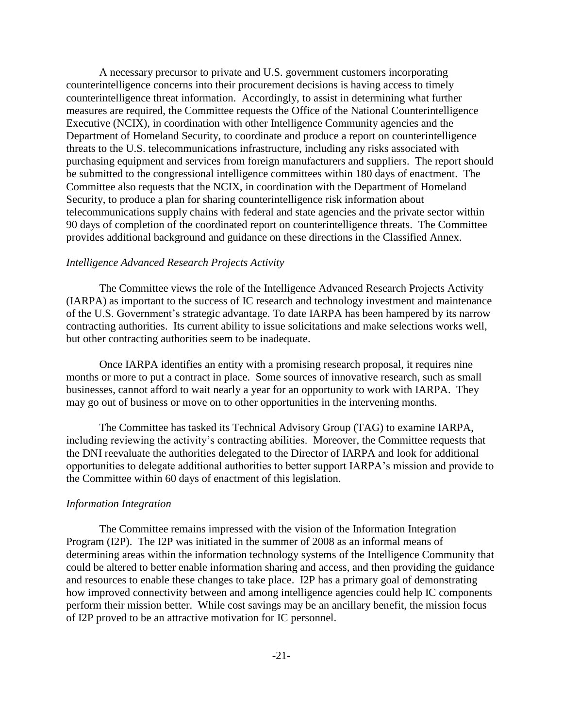A necessary precursor to private and U.S. government customers incorporating counterintelligence concerns into their procurement decisions is having access to timely counterintelligence threat information. Accordingly, to assist in determining what further measures are required, the Committee requests the Office of the National Counterintelligence Executive (NCIX), in coordination with other Intelligence Community agencies and the Department of Homeland Security, to coordinate and produce a report on counterintelligence threats to the U.S. telecommunications infrastructure, including any risks associated with purchasing equipment and services from foreign manufacturers and suppliers. The report should be submitted to the congressional intelligence committees within 180 days of enactment. The Committee also requests that the NCIX, in coordination with the Department of Homeland Security, to produce a plan for sharing counterintelligence risk information about telecommunications supply chains with federal and state agencies and the private sector within 90 days of completion of the coordinated report on counterintelligence threats. The Committee provides additional background and guidance on these directions in the Classified Annex.

### *Intelligence Advanced Research Projects Activity*

The Committee views the role of the Intelligence Advanced Research Projects Activity (IARPA) as important to the success of IC research and technology investment and maintenance of the U.S. Government's strategic advantage. To date IARPA has been hampered by its narrow contracting authorities. Its current ability to issue solicitations and make selections works well, but other contracting authorities seem to be inadequate.

Once IARPA identifies an entity with a promising research proposal, it requires nine months or more to put a contract in place. Some sources of innovative research, such as small businesses, cannot afford to wait nearly a year for an opportunity to work with IARPA. They may go out of business or move on to other opportunities in the intervening months.

The Committee has tasked its Technical Advisory Group (TAG) to examine IARPA, including reviewing the activity's contracting abilities. Moreover, the Committee requests that the DNI reevaluate the authorities delegated to the Director of IARPA and look for additional opportunities to delegate additional authorities to better support IARPA's mission and provide to the Committee within 60 days of enactment of this legislation.

#### *Information Integration*

The Committee remains impressed with the vision of the Information Integration Program (I2P). The I2P was initiated in the summer of 2008 as an informal means of determining areas within the information technology systems of the Intelligence Community that could be altered to better enable information sharing and access, and then providing the guidance and resources to enable these changes to take place. I2P has a primary goal of demonstrating how improved connectivity between and among intelligence agencies could help IC components perform their mission better. While cost savings may be an ancillary benefit, the mission focus of I2P proved to be an attractive motivation for IC personnel.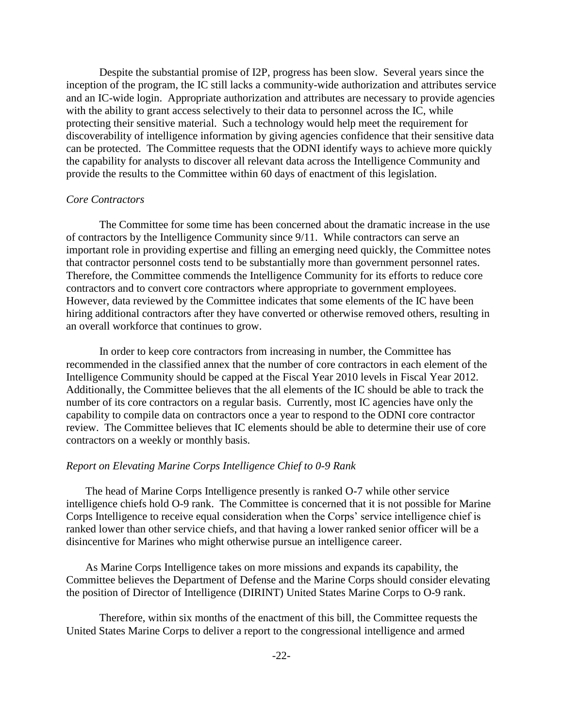Despite the substantial promise of I2P, progress has been slow. Several years since the inception of the program, the IC still lacks a community-wide authorization and attributes service and an IC-wide login. Appropriate authorization and attributes are necessary to provide agencies with the ability to grant access selectively to their data to personnel across the IC, while protecting their sensitive material. Such a technology would help meet the requirement for discoverability of intelligence information by giving agencies confidence that their sensitive data can be protected. The Committee requests that the ODNI identify ways to achieve more quickly the capability for analysts to discover all relevant data across the Intelligence Community and provide the results to the Committee within 60 days of enactment of this legislation.

### *Core Contractors*

 The Committee for some time has been concerned about the dramatic increase in the use of contractors by the Intelligence Community since 9/11. While contractors can serve an important role in providing expertise and filling an emerging need quickly, the Committee notes that contractor personnel costs tend to be substantially more than government personnel rates. Therefore, the Committee commends the Intelligence Community for its efforts to reduce core contractors and to convert core contractors where appropriate to government employees. However, data reviewed by the Committee indicates that some elements of the IC have been hiring additional contractors after they have converted or otherwise removed others, resulting in an overall workforce that continues to grow.

 In order to keep core contractors from increasing in number, the Committee has recommended in the classified annex that the number of core contractors in each element of the Intelligence Community should be capped at the Fiscal Year 2010 levels in Fiscal Year 2012. Additionally, the Committee believes that the all elements of the IC should be able to track the number of its core contractors on a regular basis. Currently, most IC agencies have only the capability to compile data on contractors once a year to respond to the ODNI core contractor review. The Committee believes that IC elements should be able to determine their use of core contractors on a weekly or monthly basis.

#### *Report on Elevating Marine Corps Intelligence Chief to 0-9 Rank*

 The head of Marine Corps Intelligence presently is ranked O-7 while other service intelligence chiefs hold O-9 rank. The Committee is concerned that it is not possible for Marine Corps Intelligence to receive equal consideration when the Corps' service intelligence chief is ranked lower than other service chiefs, and that having a lower ranked senior officer will be a disincentive for Marines who might otherwise pursue an intelligence career.

 As Marine Corps Intelligence takes on more missions and expands its capability, the Committee believes the Department of Defense and the Marine Corps should consider elevating the position of Director of Intelligence (DIRINT) United States Marine Corps to O-9 rank.

Therefore, within six months of the enactment of this bill, the Committee requests the United States Marine Corps to deliver a report to the congressional intelligence and armed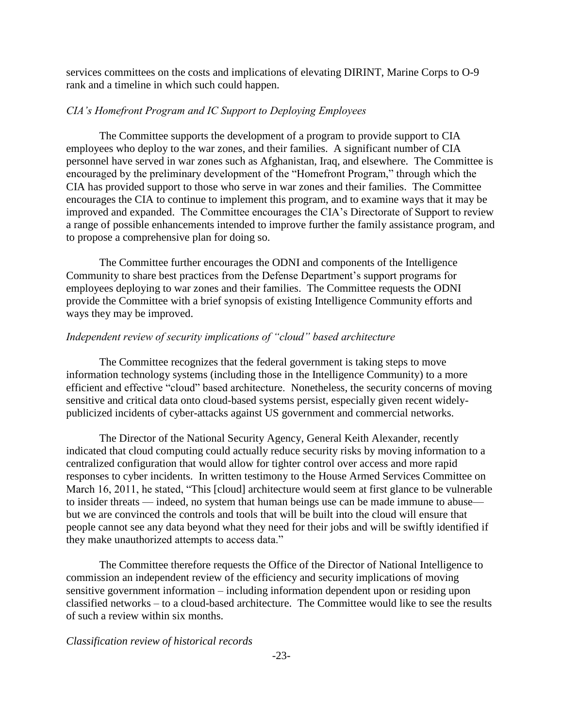services committees on the costs and implications of elevating DIRINT, Marine Corps to O-9 rank and a timeline in which such could happen.

### *CIA's Homefront Program and IC Support to Deploying Employees*

The Committee supports the development of a program to provide support to CIA employees who deploy to the war zones, and their families. A significant number of CIA personnel have served in war zones such as Afghanistan, Iraq, and elsewhere. The Committee is encouraged by the preliminary development of the "Homefront Program," through which the CIA has provided support to those who serve in war zones and their families. The Committee encourages the CIA to continue to implement this program, and to examine ways that it may be improved and expanded. The Committee encourages the CIA's Directorate of Support to review a range of possible enhancements intended to improve further the family assistance program, and to propose a comprehensive plan for doing so.

The Committee further encourages the ODNI and components of the Intelligence Community to share best practices from the Defense Department's support programs for employees deploying to war zones and their families. The Committee requests the ODNI provide the Committee with a brief synopsis of existing Intelligence Community efforts and ways they may be improved.

### *Independent review of security implications of "cloud" based architecture*

The Committee recognizes that the federal government is taking steps to move information technology systems (including those in the Intelligence Community) to a more efficient and effective "cloud" based architecture. Nonetheless, the security concerns of moving sensitive and critical data onto cloud-based systems persist, especially given recent widelypublicized incidents of cyber-attacks against US government and commercial networks.

The Director of the National Security Agency, General Keith Alexander, recently indicated that cloud computing could actually reduce security risks by moving information to a centralized configuration that would allow for tighter control over access and more rapid responses to cyber incidents. In written testimony to the House Armed Services Committee on March 16, 2011, he stated, "This [cloud] architecture would seem at first glance to be vulnerable to insider threats — indeed, no system that human beings use can be made immune to abuse but we are convinced the controls and tools that will be built into the cloud will ensure that people cannot see any data beyond what they need for their jobs and will be swiftly identified if they make unauthorized attempts to access data."

The Committee therefore requests the Office of the Director of National Intelligence to commission an independent review of the efficiency and security implications of moving sensitive government information – including information dependent upon or residing upon classified networks – to a cloud-based architecture. The Committee would like to see the results of such a review within six months.

*Classification review of historical records*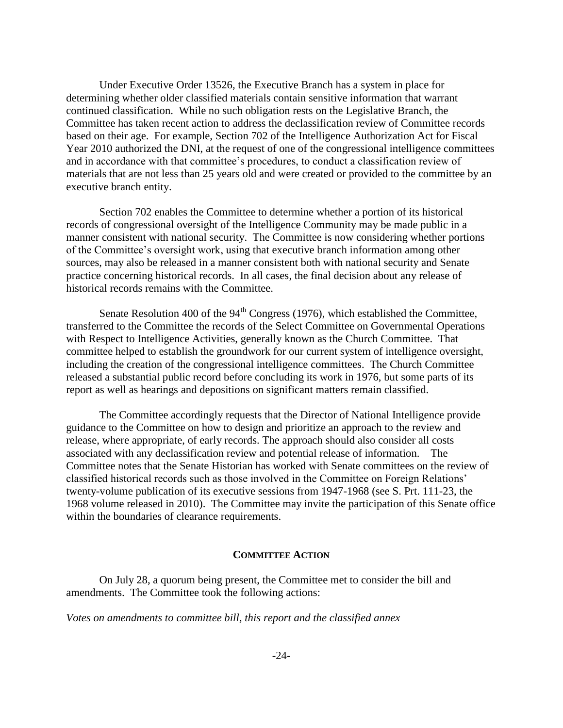Under Executive Order 13526, the Executive Branch has a system in place for determining whether older classified materials contain sensitive information that warrant continued classification. While no such obligation rests on the Legislative Branch, the Committee has taken recent action to address the declassification review of Committee records based on their age. For example, Section 702 of the Intelligence Authorization Act for Fiscal Year 2010 authorized the DNI, at the request of one of the congressional intelligence committees and in accordance with that committee's procedures, to conduct a classification review of materials that are not less than 25 years old and were created or provided to the committee by an executive branch entity.

Section 702 enables the Committee to determine whether a portion of its historical records of congressional oversight of the Intelligence Community may be made public in a manner consistent with national security. The Committee is now considering whether portions of the Committee's oversight work, using that executive branch information among other sources, may also be released in a manner consistent both with national security and Senate practice concerning historical records. In all cases, the final decision about any release of historical records remains with the Committee.

Senate Resolution 400 of the  $94<sup>th</sup>$  Congress (1976), which established the Committee, transferred to the Committee the records of the Select Committee on Governmental Operations with Respect to Intelligence Activities, generally known as the Church Committee. That committee helped to establish the groundwork for our current system of intelligence oversight, including the creation of the congressional intelligence committees. The Church Committee released a substantial public record before concluding its work in 1976, but some parts of its report as well as hearings and depositions on significant matters remain classified.

The Committee accordingly requests that the Director of National Intelligence provide guidance to the Committee on how to design and prioritize an approach to the review and release, where appropriate, of early records. The approach should also consider all costs associated with any declassification review and potential release of information. The Committee notes that the Senate Historian has worked with Senate committees on the review of classified historical records such as those involved in the Committee on Foreign Relations' twenty-volume publication of its executive sessions from 1947-1968 (see S. Prt. 111-23, the 1968 volume released in 2010). The Committee may invite the participation of this Senate office within the boundaries of clearance requirements.

#### **COMMITTEE ACTION**

On July 28, a quorum being present, the Committee met to consider the bill and amendments. The Committee took the following actions:

*Votes on amendments to committee bill, this report and the classified annex*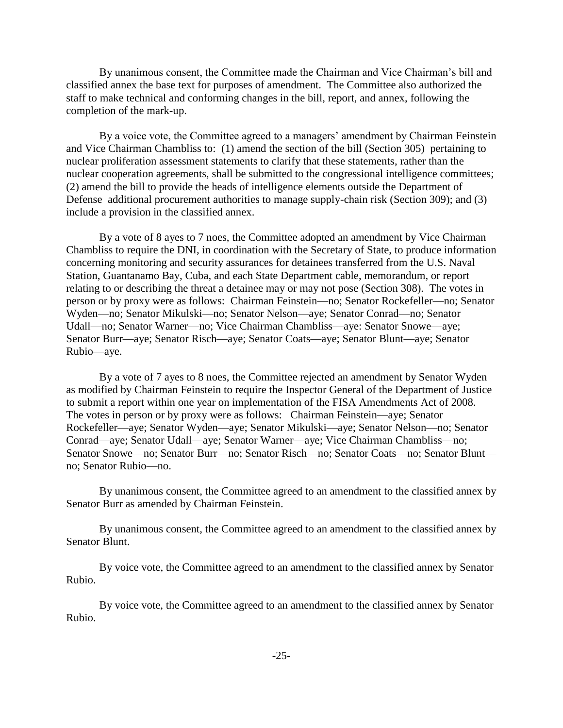By unanimous consent, the Committee made the Chairman and Vice Chairman's bill and classified annex the base text for purposes of amendment. The Committee also authorized the staff to make technical and conforming changes in the bill, report, and annex, following the completion of the mark-up.

By a voice vote, the Committee agreed to a managers' amendment by Chairman Feinstein and Vice Chairman Chambliss to: (1) amend the section of the bill (Section 305) pertaining to nuclear proliferation assessment statements to clarify that these statements, rather than the nuclear cooperation agreements, shall be submitted to the congressional intelligence committees; (2) amend the bill to provide the heads of intelligence elements outside the Department of Defense additional procurement authorities to manage supply-chain risk (Section 309); and (3) include a provision in the classified annex.

By a vote of 8 ayes to 7 noes, the Committee adopted an amendment by Vice Chairman Chambliss to require the DNI, in coordination with the Secretary of State, to produce information concerning monitoring and security assurances for detainees transferred from the U.S. Naval Station, Guantanamo Bay, Cuba, and each State Department cable, memorandum, or report relating to or describing the threat a detainee may or may not pose (Section 308). The votes in person or by proxy were as follows: Chairman Feinstein—no; Senator Rockefeller—no; Senator Wyden—no; Senator Mikulski—no; Senator Nelson—aye; Senator Conrad—no; Senator Udall—no; Senator Warner—no; Vice Chairman Chambliss—aye: Senator Snowe—aye; Senator Burr—aye; Senator Risch—aye; Senator Coats—aye; Senator Blunt—aye; Senator Rubio—aye.

By a vote of 7 ayes to 8 noes, the Committee rejected an amendment by Senator Wyden as modified by Chairman Feinstein to require the Inspector General of the Department of Justice to submit a report within one year on implementation of the FISA Amendments Act of 2008. The votes in person or by proxy were as follows: Chairman Feinstein—aye; Senator Rockefeller—aye; Senator Wyden—aye; Senator Mikulski—aye; Senator Nelson—no; Senator Conrad—aye; Senator Udall—aye; Senator Warner—aye; Vice Chairman Chambliss—no; Senator Snowe—no; Senator Burr—no; Senator Risch—no; Senator Coats—no; Senator Blunt no; Senator Rubio—no.

By unanimous consent, the Committee agreed to an amendment to the classified annex by Senator Burr as amended by Chairman Feinstein.

By unanimous consent, the Committee agreed to an amendment to the classified annex by Senator Blunt.

By voice vote, the Committee agreed to an amendment to the classified annex by Senator Rubio.

By voice vote, the Committee agreed to an amendment to the classified annex by Senator Rubio.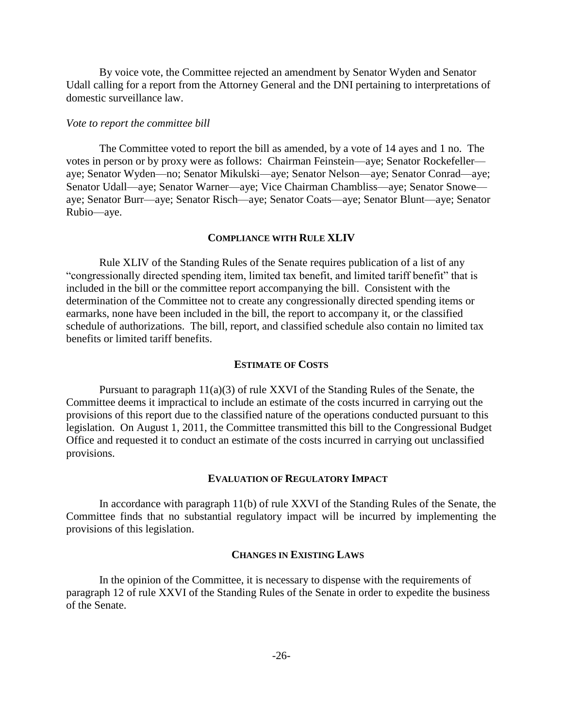By voice vote, the Committee rejected an amendment by Senator Wyden and Senator Udall calling for a report from the Attorney General and the DNI pertaining to interpretations of domestic surveillance law.

#### *Vote to report the committee bill*

The Committee voted to report the bill as amended, by a vote of 14 ayes and 1 no. The votes in person or by proxy were as follows: Chairman Feinstein—aye; Senator Rockefeller aye; Senator Wyden—no; Senator Mikulski—aye; Senator Nelson—aye; Senator Conrad—aye; Senator Udall—aye; Senator Warner—aye; Vice Chairman Chambliss—aye; Senator Snowe aye; Senator Burr—aye; Senator Risch—aye; Senator Coats—aye; Senator Blunt—aye; Senator Rubio—aye.

### **COMPLIANCE WITH RULE XLIV**

Rule XLIV of the Standing Rules of the Senate requires publication of a list of any "congressionally directed spending item, limited tax benefit, and limited tariff benefit" that is included in the bill or the committee report accompanying the bill. Consistent with the determination of the Committee not to create any congressionally directed spending items or earmarks, none have been included in the bill, the report to accompany it, or the classified schedule of authorizations. The bill, report, and classified schedule also contain no limited tax benefits or limited tariff benefits.

#### **ESTIMATE OF COSTS**

Pursuant to paragraph  $11(a)(3)$  of rule XXVI of the Standing Rules of the Senate, the Committee deems it impractical to include an estimate of the costs incurred in carrying out the provisions of this report due to the classified nature of the operations conducted pursuant to this legislation. On August 1, 2011, the Committee transmitted this bill to the Congressional Budget Office and requested it to conduct an estimate of the costs incurred in carrying out unclassified provisions.

#### **EVALUATION OF REGULATORY IMPACT**

In accordance with paragraph 11(b) of rule XXVI of the Standing Rules of the Senate, the Committee finds that no substantial regulatory impact will be incurred by implementing the provisions of this legislation.

#### **CHANGES IN EXISTING LAWS**

In the opinion of the Committee, it is necessary to dispense with the requirements of paragraph 12 of rule XXVI of the Standing Rules of the Senate in order to expedite the business of the Senate.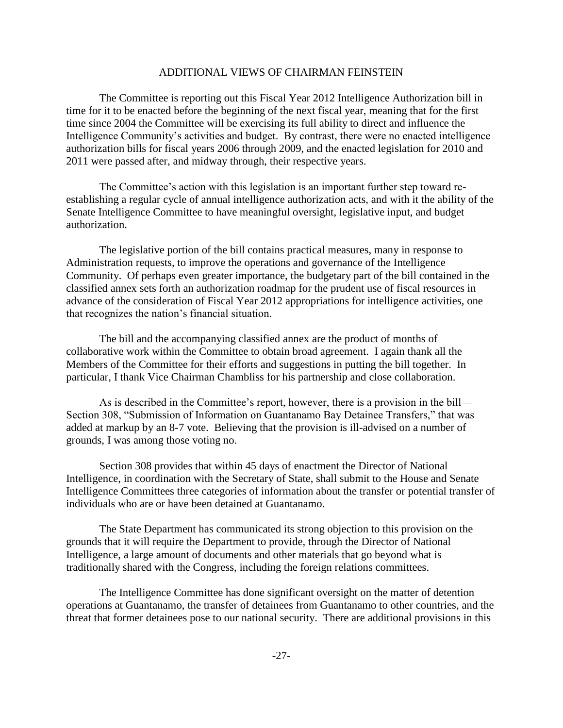### ADDITIONAL VIEWS OF CHAIRMAN FEINSTEIN

The Committee is reporting out this Fiscal Year 2012 Intelligence Authorization bill in time for it to be enacted before the beginning of the next fiscal year, meaning that for the first time since 2004 the Committee will be exercising its full ability to direct and influence the Intelligence Community's activities and budget. By contrast, there were no enacted intelligence authorization bills for fiscal years 2006 through 2009, and the enacted legislation for 2010 and 2011 were passed after, and midway through, their respective years.

The Committee's action with this legislation is an important further step toward reestablishing a regular cycle of annual intelligence authorization acts, and with it the ability of the Senate Intelligence Committee to have meaningful oversight, legislative input, and budget authorization.

The legislative portion of the bill contains practical measures, many in response to Administration requests, to improve the operations and governance of the Intelligence Community. Of perhaps even greater importance, the budgetary part of the bill contained in the classified annex sets forth an authorization roadmap for the prudent use of fiscal resources in advance of the consideration of Fiscal Year 2012 appropriations for intelligence activities, one that recognizes the nation's financial situation.

The bill and the accompanying classified annex are the product of months of collaborative work within the Committee to obtain broad agreement. I again thank all the Members of the Committee for their efforts and suggestions in putting the bill together. In particular, I thank Vice Chairman Chambliss for his partnership and close collaboration.

As is described in the Committee's report, however, there is a provision in the bill— Section 308, "Submission of Information on Guantanamo Bay Detainee Transfers," that was added at markup by an 8-7 vote. Believing that the provision is ill-advised on a number of grounds, I was among those voting no.

Section 308 provides that within 45 days of enactment the Director of National Intelligence, in coordination with the Secretary of State, shall submit to the House and Senate Intelligence Committees three categories of information about the transfer or potential transfer of individuals who are or have been detained at Guantanamo.

The State Department has communicated its strong objection to this provision on the grounds that it will require the Department to provide, through the Director of National Intelligence, a large amount of documents and other materials that go beyond what is traditionally shared with the Congress, including the foreign relations committees.

The Intelligence Committee has done significant oversight on the matter of detention operations at Guantanamo, the transfer of detainees from Guantanamo to other countries, and the threat that former detainees pose to our national security. There are additional provisions in this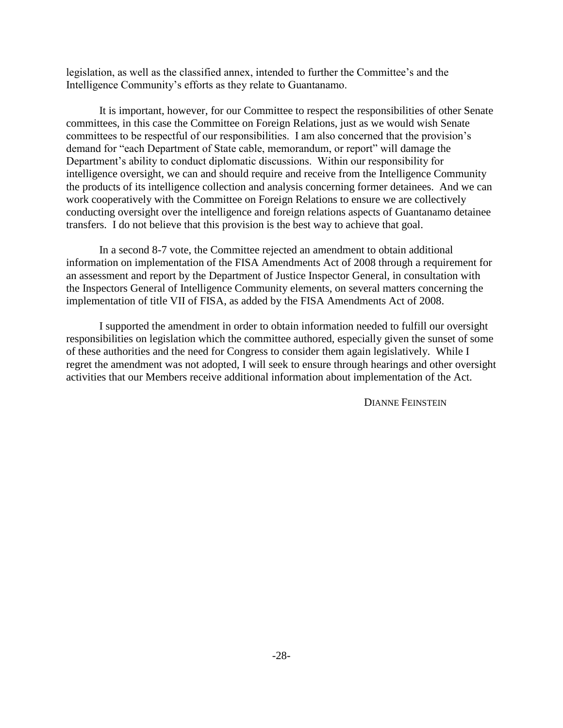legislation, as well as the classified annex, intended to further the Committee's and the Intelligence Community's efforts as they relate to Guantanamo.

It is important, however, for our Committee to respect the responsibilities of other Senate committees, in this case the Committee on Foreign Relations, just as we would wish Senate committees to be respectful of our responsibilities. I am also concerned that the provision's demand for "each Department of State cable, memorandum, or report" will damage the Department's ability to conduct diplomatic discussions. Within our responsibility for intelligence oversight, we can and should require and receive from the Intelligence Community the products of its intelligence collection and analysis concerning former detainees. And we can work cooperatively with the Committee on Foreign Relations to ensure we are collectively conducting oversight over the intelligence and foreign relations aspects of Guantanamo detainee transfers. I do not believe that this provision is the best way to achieve that goal.

In a second 8-7 vote, the Committee rejected an amendment to obtain additional information on implementation of the FISA Amendments Act of 2008 through a requirement for an assessment and report by the Department of Justice Inspector General, in consultation with the Inspectors General of Intelligence Community elements, on several matters concerning the implementation of title VII of FISA, as added by the FISA Amendments Act of 2008.

I supported the amendment in order to obtain information needed to fulfill our oversight responsibilities on legislation which the committee authored, especially given the sunset of some of these authorities and the need for Congress to consider them again legislatively. While I regret the amendment was not adopted, I will seek to ensure through hearings and other oversight activities that our Members receive additional information about implementation of the Act.

DIANNE FEINSTEIN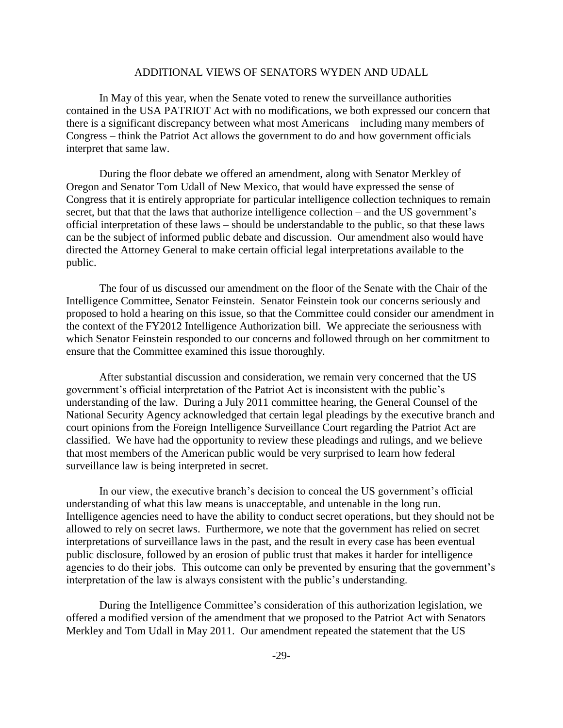### ADDITIONAL VIEWS OF SENATORS WYDEN AND UDALL

In May of this year, when the Senate voted to renew the surveillance authorities contained in the USA PATRIOT Act with no modifications, we both expressed our concern that there is a significant discrepancy between what most Americans – including many members of Congress – think the Patriot Act allows the government to do and how government officials interpret that same law.

During the floor debate we offered an amendment, along with Senator Merkley of Oregon and Senator Tom Udall of New Mexico, that would have expressed the sense of Congress that it is entirely appropriate for particular intelligence collection techniques to remain secret, but that that the laws that authorize intelligence collection – and the US government's official interpretation of these laws – should be understandable to the public, so that these laws can be the subject of informed public debate and discussion. Our amendment also would have directed the Attorney General to make certain official legal interpretations available to the public.

The four of us discussed our amendment on the floor of the Senate with the Chair of the Intelligence Committee, Senator Feinstein. Senator Feinstein took our concerns seriously and proposed to hold a hearing on this issue, so that the Committee could consider our amendment in the context of the FY2012 Intelligence Authorization bill. We appreciate the seriousness with which Senator Feinstein responded to our concerns and followed through on her commitment to ensure that the Committee examined this issue thoroughly.

After substantial discussion and consideration, we remain very concerned that the US government's official interpretation of the Patriot Act is inconsistent with the public's understanding of the law. During a July 2011 committee hearing, the General Counsel of the National Security Agency acknowledged that certain legal pleadings by the executive branch and court opinions from the Foreign Intelligence Surveillance Court regarding the Patriot Act are classified. We have had the opportunity to review these pleadings and rulings, and we believe that most members of the American public would be very surprised to learn how federal surveillance law is being interpreted in secret.

In our view, the executive branch's decision to conceal the US government's official understanding of what this law means is unacceptable, and untenable in the long run. Intelligence agencies need to have the ability to conduct secret operations, but they should not be allowed to rely on secret laws. Furthermore, we note that the government has relied on secret interpretations of surveillance laws in the past, and the result in every case has been eventual public disclosure, followed by an erosion of public trust that makes it harder for intelligence agencies to do their jobs. This outcome can only be prevented by ensuring that the government's interpretation of the law is always consistent with the public's understanding.

During the Intelligence Committee's consideration of this authorization legislation, we offered a modified version of the amendment that we proposed to the Patriot Act with Senators Merkley and Tom Udall in May 2011. Our amendment repeated the statement that the US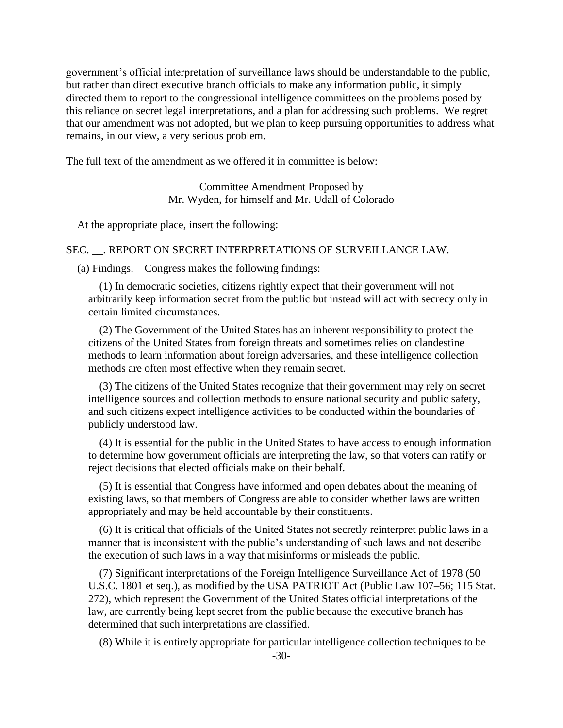government's official interpretation of surveillance laws should be understandable to the public, but rather than direct executive branch officials to make any information public, it simply directed them to report to the congressional intelligence committees on the problems posed by this reliance on secret legal interpretations, and a plan for addressing such problems. We regret that our amendment was not adopted, but we plan to keep pursuing opportunities to address what remains, in our view, a very serious problem.

The full text of the amendment as we offered it in committee is below:

Committee Amendment Proposed by Mr. Wyden, for himself and Mr. Udall of Colorado

At the appropriate place, insert the following:

### SEC. . REPORT ON SECRET INTERPRETATIONS OF SURVEILLANCE LAW.

(a) Findings.—Congress makes the following findings:

(1) In democratic societies, citizens rightly expect that their government will not arbitrarily keep information secret from the public but instead will act with secrecy only in certain limited circumstances.

(2) The Government of the United States has an inherent responsibility to protect the citizens of the United States from foreign threats and sometimes relies on clandestine methods to learn information about foreign adversaries, and these intelligence collection methods are often most effective when they remain secret.

(3) The citizens of the United States recognize that their government may rely on secret intelligence sources and collection methods to ensure national security and public safety, and such citizens expect intelligence activities to be conducted within the boundaries of publicly understood law.

(4) It is essential for the public in the United States to have access to enough information to determine how government officials are interpreting the law, so that voters can ratify or reject decisions that elected officials make on their behalf.

(5) It is essential that Congress have informed and open debates about the meaning of existing laws, so that members of Congress are able to consider whether laws are written appropriately and may be held accountable by their constituents.

(6) It is critical that officials of the United States not secretly reinterpret public laws in a manner that is inconsistent with the public's understanding of such laws and not describe the execution of such laws in a way that misinforms or misleads the public.

(7) Significant interpretations of the Foreign Intelligence Surveillance Act of 1978 (50 U.S.C. 1801 et seq.), as modified by the USA PATRIOT Act (Public Law 107–56; 115 Stat. 272), which represent the Government of the United States official interpretations of the law, are currently being kept secret from the public because the executive branch has determined that such interpretations are classified.

(8) While it is entirely appropriate for particular intelligence collection techniques to be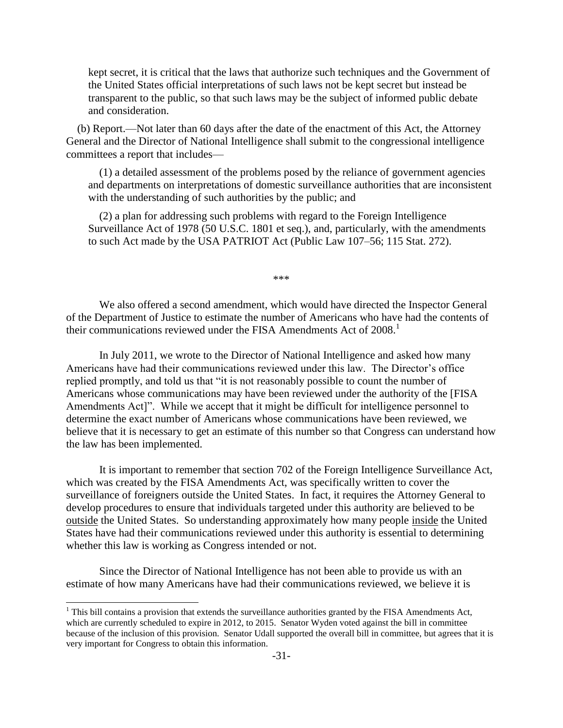kept secret, it is critical that the laws that authorize such techniques and the Government of the United States official interpretations of such laws not be kept secret but instead be transparent to the public, so that such laws may be the subject of informed public debate and consideration.

(b) Report.—Not later than 60 days after the date of the enactment of this Act, the Attorney General and the Director of National Intelligence shall submit to the congressional intelligence committees a report that includes—

(1) a detailed assessment of the problems posed by the reliance of government agencies and departments on interpretations of domestic surveillance authorities that are inconsistent with the understanding of such authorities by the public; and

(2) a plan for addressing such problems with regard to the Foreign Intelligence Surveillance Act of 1978 (50 U.S.C. 1801 et seq.), and, particularly, with the amendments to such Act made by the USA PATRIOT Act (Public Law 107–56; 115 Stat. 272).

\*\*\*

We also offered a second amendment, which would have directed the Inspector General of the Department of Justice to estimate the number of Americans who have had the contents of their communications reviewed under the FISA Amendments Act of  $2008$ .<sup>1</sup>

In July 2011, we wrote to the Director of National Intelligence and asked how many Americans have had their communications reviewed under this law. The Director's office replied promptly, and told us that "it is not reasonably possible to count the number of Americans whose communications may have been reviewed under the authority of the [FISA Amendments Act]". While we accept that it might be difficult for intelligence personnel to determine the exact number of Americans whose communications have been reviewed, we believe that it is necessary to get an estimate of this number so that Congress can understand how the law has been implemented.

It is important to remember that section 702 of the Foreign Intelligence Surveillance Act, which was created by the FISA Amendments Act, was specifically written to cover the surveillance of foreigners outside the United States. In fact, it requires the Attorney General to develop procedures to ensure that individuals targeted under this authority are believed to be outside the United States. So understanding approximately how many people inside the United States have had their communications reviewed under this authority is essential to determining whether this law is working as Congress intended or not.

Since the Director of National Intelligence has not been able to provide us with an estimate of how many Americans have had their communications reviewed, we believe it is

 $\overline{\phantom{a}}$ 

 $1$  This bill contains a provision that extends the surveillance authorities granted by the FISA Amendments Act, which are currently scheduled to expire in 2012, to 2015. Senator Wyden voted against the bill in committee because of the inclusion of this provision. Senator Udall supported the overall bill in committee, but agrees that it is very important for Congress to obtain this information.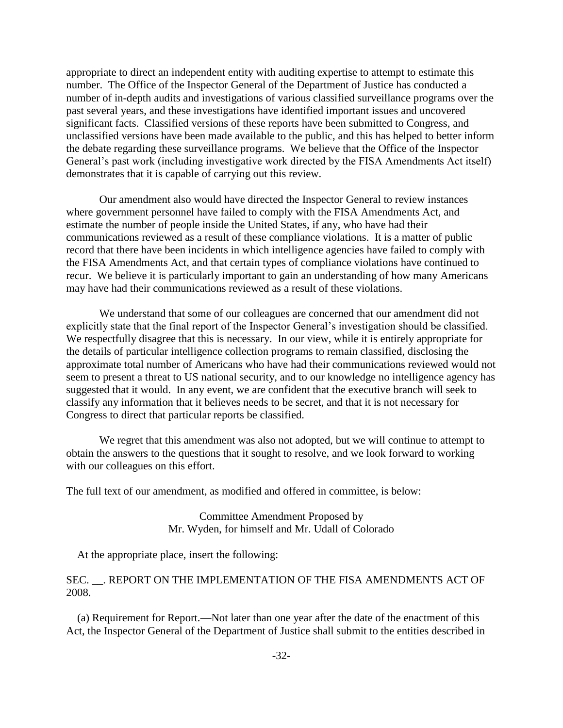appropriate to direct an independent entity with auditing expertise to attempt to estimate this number. The Office of the Inspector General of the Department of Justice has conducted a number of in-depth audits and investigations of various classified surveillance programs over the past several years, and these investigations have identified important issues and uncovered significant facts. Classified versions of these reports have been submitted to Congress, and unclassified versions have been made available to the public, and this has helped to better inform the debate regarding these surveillance programs. We believe that the Office of the Inspector General's past work (including investigative work directed by the FISA Amendments Act itself) demonstrates that it is capable of carrying out this review.

Our amendment also would have directed the Inspector General to review instances where government personnel have failed to comply with the FISA Amendments Act, and estimate the number of people inside the United States, if any, who have had their communications reviewed as a result of these compliance violations. It is a matter of public record that there have been incidents in which intelligence agencies have failed to comply with the FISA Amendments Act, and that certain types of compliance violations have continued to recur. We believe it is particularly important to gain an understanding of how many Americans may have had their communications reviewed as a result of these violations.

We understand that some of our colleagues are concerned that our amendment did not explicitly state that the final report of the Inspector General's investigation should be classified. We respectfully disagree that this is necessary. In our view, while it is entirely appropriate for the details of particular intelligence collection programs to remain classified, disclosing the approximate total number of Americans who have had their communications reviewed would not seem to present a threat to US national security, and to our knowledge no intelligence agency has suggested that it would. In any event, we are confident that the executive branch will seek to classify any information that it believes needs to be secret, and that it is not necessary for Congress to direct that particular reports be classified.

We regret that this amendment was also not adopted, but we will continue to attempt to obtain the answers to the questions that it sought to resolve, and we look forward to working with our colleagues on this effort.

The full text of our amendment, as modified and offered in committee, is below:

Committee Amendment Proposed by Mr. Wyden, for himself and Mr. Udall of Colorado

At the appropriate place, insert the following:

### SEC. \_\_. REPORT ON THE IMPLEMENTATION OF THE FISA AMENDMENTS ACT OF 2008.

(a) Requirement for Report.—Not later than one year after the date of the enactment of this Act, the Inspector General of the Department of Justice shall submit to the entities described in